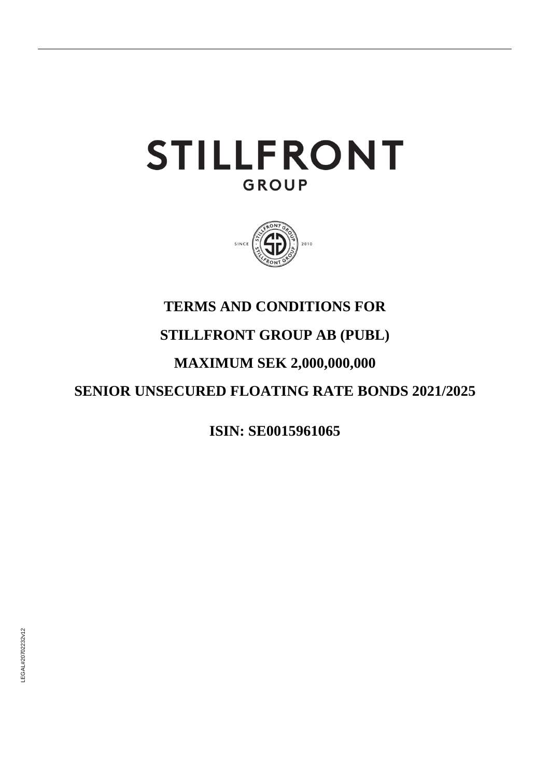# **STILLFRONT GROUP**



## **TERMS AND CONDITIONS FOR**

# **STILLFRONT GROUP AB (PUBL)**

# **MAXIMUM SEK 2,000,000,000**

# **SENIOR UNSECURED FLOATING RATE BONDS 2021/2025**

**ISIN: SE0015961065**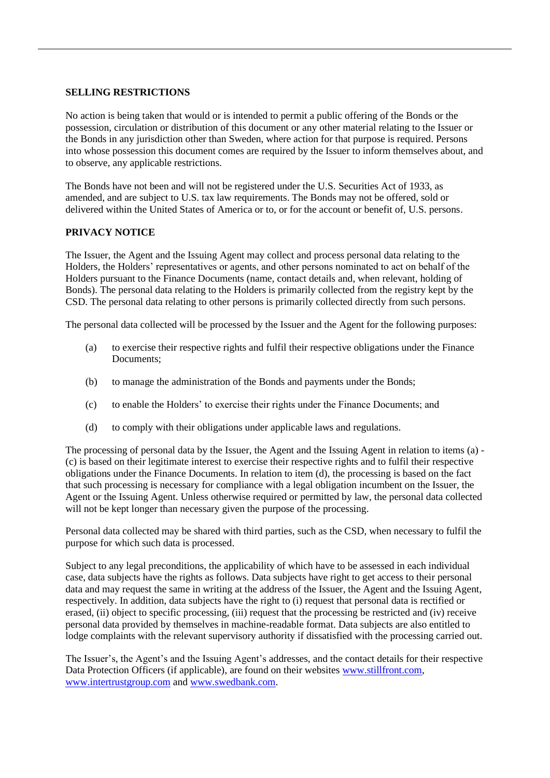### **SELLING RESTRICTIONS**

No action is being taken that would or is intended to permit a public offering of the Bonds or the possession, circulation or distribution of this document or any other material relating to the Issuer or the Bonds in any jurisdiction other than Sweden, where action for that purpose is required. Persons into whose possession this document comes are required by the Issuer to inform themselves about, and to observe, any applicable restrictions.

The Bonds have not been and will not be registered under the U.S. Securities Act of 1933, as amended, and are subject to U.S. tax law requirements. The Bonds may not be offered, sold or delivered within the United States of America or to, or for the account or benefit of, U.S. persons.

### **PRIVACY NOTICE**

The Issuer, the Agent and the Issuing Agent may collect and process personal data relating to the Holders, the Holders' representatives or agents, and other persons nominated to act on behalf of the Holders pursuant to the Finance Documents (name, contact details and, when relevant, holding of Bonds). The personal data relating to the Holders is primarily collected from the registry kept by the CSD. The personal data relating to other persons is primarily collected directly from such persons.

<span id="page-1-0"></span>The personal data collected will be processed by the Issuer and the Agent for the following purposes:

- (a) to exercise their respective rights and fulfil their respective obligations under the Finance Documents;
- (b) to manage the administration of the Bonds and payments under the Bonds;
- <span id="page-1-1"></span>(c) to enable the Holders' to exercise their rights under the Finance Documents; and
- <span id="page-1-2"></span>(d) to comply with their obligations under applicable laws and regulations.

The processing of personal data by the Issuer, the Agent and the Issuing Agent in relation to items [\(a\)](#page-1-0) - [\(c\)](#page-1-1) is based on their legitimate interest to exercise their respective rights and to fulfil their respective obligations under the Finance Documents. In relation to item [\(d\),](#page-1-2) the processing is based on the fact that such processing is necessary for compliance with a legal obligation incumbent on the Issuer, the Agent or the Issuing Agent. Unless otherwise required or permitted by law, the personal data collected will not be kept longer than necessary given the purpose of the processing.

Personal data collected may be shared with third parties, such as the CSD, when necessary to fulfil the purpose for which such data is processed.

Subject to any legal preconditions, the applicability of which have to be assessed in each individual case, data subjects have the rights as follows. Data subjects have right to get access to their personal data and may request the same in writing at the address of the Issuer, the Agent and the Issuing Agent, respectively. In addition, data subjects have the right to (i) request that personal data is rectified or erased, (ii) object to specific processing, (iii) request that the processing be restricted and (iv) receive personal data provided by themselves in machine-readable format. Data subjects are also entitled to lodge complaints with the relevant supervisory authority if dissatisfied with the processing carried out.

The Issuer's, the Agent's and the Issuing Agent's addresses, and the contact details for their respective Data Protection Officers (if applicable), are found on their websites [www.stillfront.com,](http://www.stillfront.com/) [www.intertrustgroup.com](http://www.intertrustgroup.com/) and [www.swedbank.com.](http://www.swedbank.com/)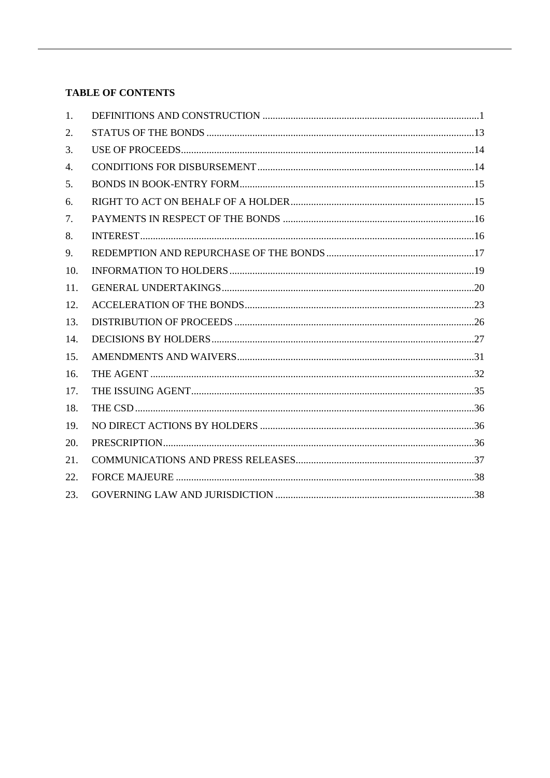### **TABLE OF CONTENTS**

| 1.  |  |
|-----|--|
| 2.  |  |
| 3.  |  |
| 4.  |  |
| 5.  |  |
| 6.  |  |
| 7.  |  |
| 8.  |  |
| 9.  |  |
| 10. |  |
| 11. |  |
| 12. |  |
| 13. |  |
| 14. |  |
| 15. |  |
| 16. |  |
| 17. |  |
| 18. |  |
| 19. |  |
| 20. |  |
| 21. |  |
| 22. |  |
| 23. |  |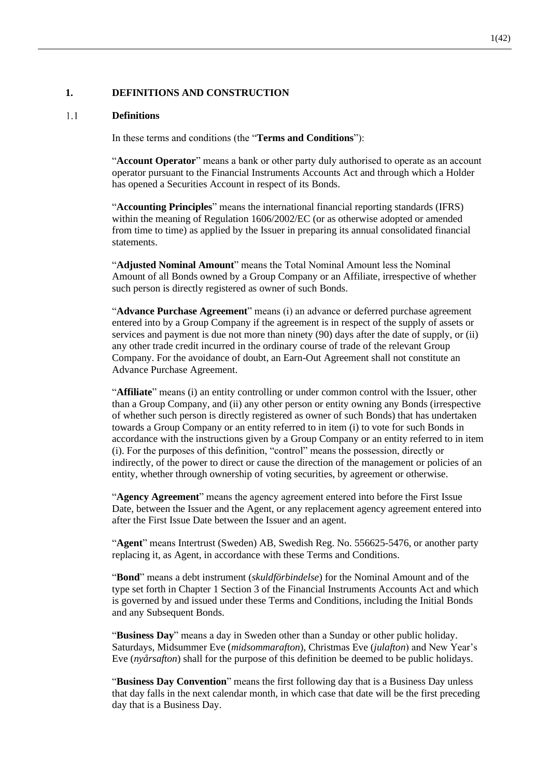### **1. DEFINITIONS AND CONSTRUCTION**

#### $1.1$ **Definitions**

In these terms and conditions (the "**Terms and Conditions**"):

"**Account Operator**" means a bank or other party duly authorised to operate as an account operator pursuant to the Financial Instruments Accounts Act and through which a Holder has opened a Securities Account in respect of its Bonds.

"**Accounting Principles**" means the international financial reporting standards (IFRS) within the meaning of Regulation 1606/2002/EC (or as otherwise adopted or amended from time to time) as applied by the Issuer in preparing its annual consolidated financial statements.

"**Adjusted Nominal Amount**" means the Total Nominal Amount less the Nominal Amount of all Bonds owned by a Group Company or an Affiliate, irrespective of whether such person is directly registered as owner of such Bonds.

"**Advance Purchase Agreement**" means (i) an advance or deferred purchase agreement entered into by a Group Company if the agreement is in respect of the supply of assets or services and payment is due not more than ninety (90) days after the date of supply, or (ii) any other trade credit incurred in the ordinary course of trade of the relevant Group Company. For the avoidance of doubt, an Earn-Out Agreement shall not constitute an Advance Purchase Agreement.

"**Affiliate**" means (i) an entity controlling or under common control with the Issuer, other than a Group Company, and (ii) any other person or entity owning any Bonds (irrespective of whether such person is directly registered as owner of such Bonds) that has undertaken towards a Group Company or an entity referred to in item (i) to vote for such Bonds in accordance with the instructions given by a Group Company or an entity referred to in item (i). For the purposes of this definition, "control" means the possession, directly or indirectly, of the power to direct or cause the direction of the management or policies of an entity, whether through ownership of voting securities, by agreement or otherwise.

"**Agency Agreement**" means the agency agreement entered into before the First Issue Date, between the Issuer and the Agent, or any replacement agency agreement entered into after the First Issue Date between the Issuer and an agent.

"**Agent**" means Intertrust (Sweden) AB, Swedish Reg. No. 556625-5476, or another party replacing it, as Agent, in accordance with these Terms and Conditions.

"**Bond**" means a debt instrument (*skuldförbindelse*) for the Nominal Amount and of the type set forth in Chapter 1 Section 3 of the Financial Instruments Accounts Act and which is governed by and issued under these Terms and Conditions, including the Initial Bonds and any Subsequent Bonds.

"**Business Day**" means a day in Sweden other than a Sunday or other public holiday. Saturdays, Midsummer Eve (*midsommarafton*), Christmas Eve (*julafton*) and New Year's Eve (*nyårsafton*) shall for the purpose of this definition be deemed to be public holidays.

"**Business Day Convention**" means the first following day that is a Business Day unless that day falls in the next calendar month, in which case that date will be the first preceding day that is a Business Day.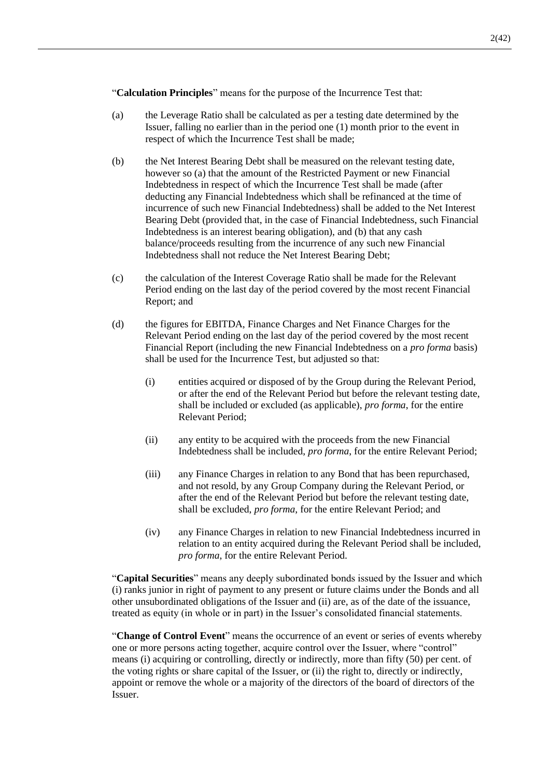"**Calculation Principles**" means for the purpose of the Incurrence Test that:

- (a) the Leverage Ratio shall be calculated as per a testing date determined by the Issuer, falling no earlier than in the period one (1) month prior to the event in respect of which the Incurrence Test shall be made;
- (b) the Net Interest Bearing Debt shall be measured on the relevant testing date, however so (a) that the amount of the Restricted Payment or new Financial Indebtedness in respect of which the Incurrence Test shall be made (after deducting any Financial Indebtedness which shall be refinanced at the time of incurrence of such new Financial Indebtedness) shall be added to the Net Interest Bearing Debt (provided that, in the case of Financial Indebtedness, such Financial Indebtedness is an interest bearing obligation), and (b) that any cash balance/proceeds resulting from the incurrence of any such new Financial Indebtedness shall not reduce the Net Interest Bearing Debt;
- (c) the calculation of the Interest Coverage Ratio shall be made for the Relevant Period ending on the last day of the period covered by the most recent Financial Report; and
- (d) the figures for EBITDA, Finance Charges and Net Finance Charges for the Relevant Period ending on the last day of the period covered by the most recent Financial Report (including the new Financial Indebtedness on a *pro forma* basis) shall be used for the Incurrence Test, but adjusted so that:
	- (i) entities acquired or disposed of by the Group during the Relevant Period, or after the end of the Relevant Period but before the relevant testing date, shall be included or excluded (as applicable), *pro forma*, for the entire Relevant Period;
	- (ii) any entity to be acquired with the proceeds from the new Financial Indebtedness shall be included, *pro forma*, for the entire Relevant Period;
	- (iii) any Finance Charges in relation to any Bond that has been repurchased, and not resold, by any Group Company during the Relevant Period, or after the end of the Relevant Period but before the relevant testing date, shall be excluded, *pro forma*, for the entire Relevant Period; and
	- (iv) any Finance Charges in relation to new Financial Indebtedness incurred in relation to an entity acquired during the Relevant Period shall be included, *pro forma*, for the entire Relevant Period.

"**Capital Securities**" means any deeply subordinated bonds issued by the Issuer and which (i) ranks junior in right of payment to any present or future claims under the Bonds and all other unsubordinated obligations of the Issuer and (ii) are, as of the date of the issuance, treated as equity (in whole or in part) in the Issuer's consolidated financial statements.

"**Change of Control Event**" means the occurrence of an event or series of events whereby one or more persons acting together, acquire control over the Issuer, where "control" means (i) acquiring or controlling, directly or indirectly, more than fifty (50) per cent. of the voting rights or share capital of the Issuer, or (ii) the right to, directly or indirectly, appoint or remove the whole or a majority of the directors of the board of directors of the Issuer.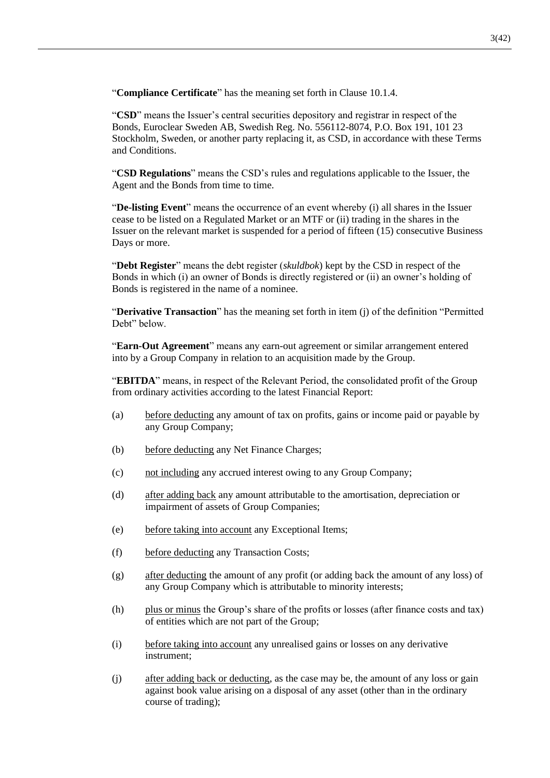"**Compliance Certificate**" has the meaning set forth in Clause [10.1.4.](#page-21-0)

"**CSD**" means the Issuer's central securities depository and registrar in respect of the Bonds, Euroclear Sweden AB, Swedish Reg. No. 556112-8074, P.O. Box 191, 101 23 Stockholm, Sweden, or another party replacing it, as CSD, in accordance with these Terms and Conditions.

"**CSD Regulations**" means the CSD's rules and regulations applicable to the Issuer, the Agent and the Bonds from time to time.

"**De-listing Event**" means the occurrence of an event whereby (i) all shares in the Issuer cease to be listed on a Regulated Market or an MTF or (ii) trading in the shares in the Issuer on the relevant market is suspended for a period of fifteen (15) consecutive Business Days or more.

"**Debt Register**" means the debt register (*skuldbok*) kept by the CSD in respect of the Bonds in which (i) an owner of Bonds is directly registered or (ii) an owner's holding of Bonds is registered in the name of a nominee.

"**Derivative Transaction**" has the meaning set forth in item [\(j\)](#page-10-0) of the definition "Permitted Debt" below.

"**Earn-Out Agreement**" means any earn-out agreement or similar arrangement entered into by a Group Company in relation to an acquisition made by the Group.

"**EBITDA**" means, in respect of the Relevant Period, the consolidated profit of the Group from ordinary activities according to the latest Financial Report:

- (a) before deducting any amount of tax on profits, gains or income paid or payable by any Group Company;
- (b) before deducting any Net Finance Charges;
- (c) not including any accrued interest owing to any Group Company;
- (d) after adding back any amount attributable to the amortisation, depreciation or impairment of assets of Group Companies;
- (e) before taking into account any Exceptional Items;
- (f) before deducting any Transaction Costs;
- (g) after deducting the amount of any profit (or adding back the amount of any loss) of any Group Company which is attributable to minority interests;
- (h) plus or minus the Group's share of the profits or losses (after finance costs and tax) of entities which are not part of the Group;
- (i) before taking into account any unrealised gains or losses on any derivative instrument;
- (j) after adding back or deducting, as the case may be, the amount of any loss or gain against book value arising on a disposal of any asset (other than in the ordinary course of trading);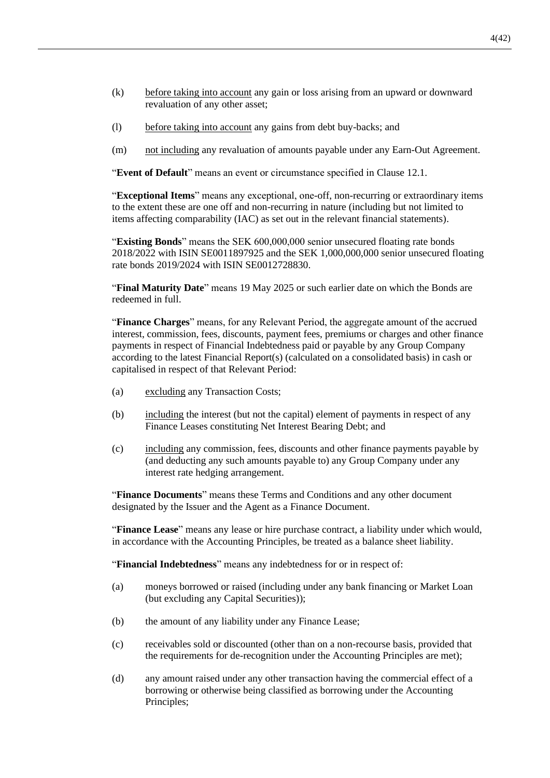- (k) before taking into account any gain or loss arising from an upward or downward revaluation of any other asset;
- (l) before taking into account any gains from debt buy-backs; and
- (m) not including any revaluation of amounts payable under any Earn-Out Agreement.

"**Event of Default**" means an event or circumstance specified in Clause [12.1.](#page-25-0)

"**Exceptional Items**" means any exceptional, one-off, non-recurring or extraordinary items to the extent these are one off and non-recurring in nature (including but not limited to items affecting comparability (IAC) as set out in the relevant financial statements).

"**Existing Bonds**" means the SEK 600,000,000 senior unsecured floating rate bonds 2018/2022 with ISIN SE0011897925 and the SEK 1,000,000,000 senior unsecured floating rate bonds 2019/2024 with ISIN SE0012728830.

"**Final Maturity Date**" means 19 May 2025 or such earlier date on which the Bonds are redeemed in full.

"**Finance Charges**" means, for any Relevant Period, the aggregate amount of the accrued interest, commission, fees, discounts, payment fees, premiums or charges and other finance payments in respect of Financial Indebtedness paid or payable by any Group Company according to the latest Financial Report(s) (calculated on a consolidated basis) in cash or capitalised in respect of that Relevant Period:

- (a) excluding any Transaction Costs;
- (b) including the interest (but not the capital) element of payments in respect of any Finance Leases constituting Net Interest Bearing Debt; and
- (c) including any commission, fees, discounts and other finance payments payable by (and deducting any such amounts payable to) any Group Company under any interest rate hedging arrangement.

"**Finance Documents**" means these Terms and Conditions and any other document designated by the Issuer and the Agent as a Finance Document.

"**Finance Lease**" means any lease or hire purchase contract, a liability under which would, in accordance with the Accounting Principles, be treated as a balance sheet liability.

"**Financial Indebtedness**" means any indebtedness for or in respect of:

- (a) moneys borrowed or raised (including under any bank financing or Market Loan (but excluding any Capital Securities));
- (b) the amount of any liability under any Finance Lease;
- (c) receivables sold or discounted (other than on a non-recourse basis, provided that the requirements for de-recognition under the Accounting Principles are met);
- (d) any amount raised under any other transaction having the commercial effect of a borrowing or otherwise being classified as borrowing under the Accounting Principles;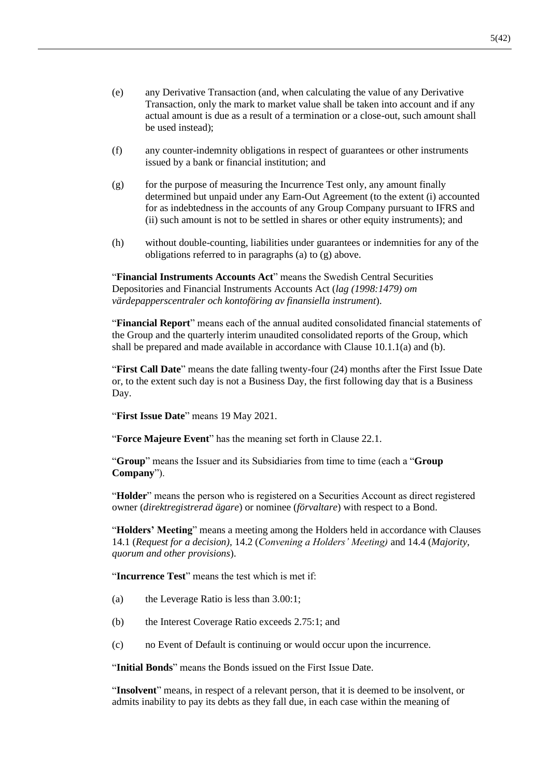- (e) any Derivative Transaction (and, when calculating the value of any Derivative Transaction, only the mark to market value shall be taken into account and if any actual amount is due as a result of a termination or a close-out, such amount shall be used instead);
- (f) any counter-indemnity obligations in respect of guarantees or other instruments issued by a bank or financial institution; and
- <span id="page-7-0"></span>(g) for the purpose of measuring the Incurrence Test only, any amount finally determined but unpaid under any Earn-Out Agreement (to the extent (i) accounted for as indebtedness in the accounts of any Group Company pursuant to IFRS and (ii) such amount is not to be settled in shares or other equity instruments); and
- (h) without double-counting, liabilities under guarantees or indemnities for any of the obligations referred to in paragraphs (a) to [\(g\)](#page-7-0) above.

"**Financial Instruments Accounts Act**" means the Swedish Central Securities Depositories and Financial Instruments Accounts Act (*lag (1998:1479) om värdepapperscentraler och kontoföring av finansiella instrument*).

"**Financial Report**" means each of the annual audited consolidated financial statements of the Group and the quarterly interim unaudited consolidated reports of the Group, which shall be prepared and made available in accordance with Clause [10.1.1](#page-21-1)[\(a\)](#page-21-2) and [\(b\).](#page-21-3)

"**First Call Date**" means the date falling twenty-four (24) months after the First Issue Date or, to the extent such day is not a Business Day, the first following day that is a Business Day.

"**First Issue Date**" means 19 May 2021.

"**Force Majeure Event**" has the meaning set forth in Clause 22.1.

"**Group**" means the Issuer and its Subsidiaries from time to time (each a "**Group Company**").

"**Holder**" means the person who is registered on a Securities Account as direct registered owner (*direktregistrerad ägare*) or nominee (*förvaltare*) with respect to a Bond.

"**Holders' Meeting**" means a meeting among the Holders held in accordance with Clauses [14.1](#page-29-0) (*Request for a decision),* [14.2](#page-30-0) (*Convening a Holders' Meeting)* and [14.4](#page-31-0) (*Majority, quorum and other provisions*).

"**Incurrence Test**" means the test which is met if:

- (a) the Leverage Ratio is less than 3.00:1;
- (b) the Interest Coverage Ratio exceeds 2.75:1; and
- (c) no Event of Default is continuing or would occur upon the incurrence.

"**Initial Bonds**" means the Bonds issued on the First Issue Date.

"**Insolvent**" means, in respect of a relevant person, that it is deemed to be insolvent, or admits inability to pay its debts as they fall due, in each case within the meaning of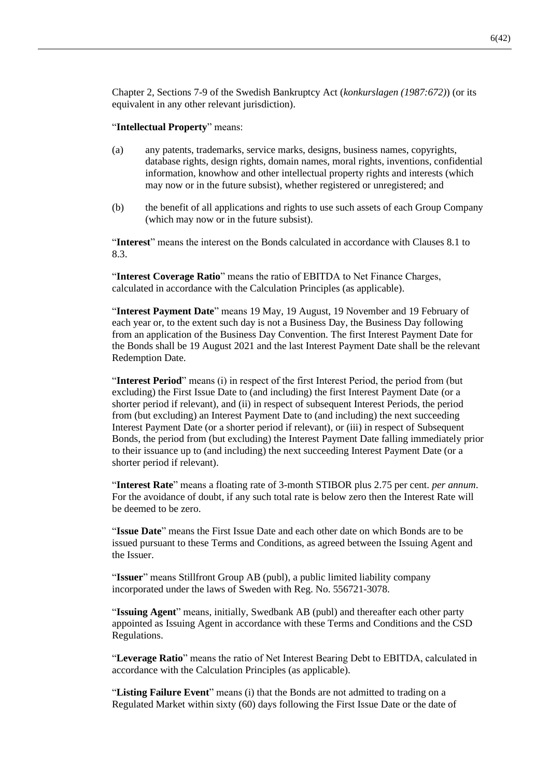Chapter 2, Sections 7-9 of the Swedish Bankruptcy Act (*konkurslagen (1987:672)*) (or its equivalent in any other relevant jurisdiction).

#### "**Intellectual Property**" means:

- (a) any patents, trademarks, service marks, designs, business names, copyrights, database rights, design rights, domain names, moral rights, inventions, confidential information, knowhow and other intellectual property rights and interests (which may now or in the future subsist), whether registered or unregistered; and
- (b) the benefit of all applications and rights to use such assets of each Group Company (which may now or in the future subsist).

"**Interest**" means the interest on the Bonds calculated in accordance with Clauses [8.1](#page-18-0) to [8.3.](#page-18-1)

"**Interest Coverage Ratio**" means the ratio of EBITDA to Net Finance Charges, calculated in accordance with the Calculation Principles (as applicable).

"**Interest Payment Date**" means 19 May, 19 August, 19 November and 19 February of each year or, to the extent such day is not a Business Day, the Business Day following from an application of the Business Day Convention. The first Interest Payment Date for the Bonds shall be 19 August 2021 and the last Interest Payment Date shall be the relevant Redemption Date.

"**Interest Period**" means (i) in respect of the first Interest Period, the period from (but excluding) the First Issue Date to (and including) the first Interest Payment Date (or a shorter period if relevant), and (ii) in respect of subsequent Interest Periods, the period from (but excluding) an Interest Payment Date to (and including) the next succeeding Interest Payment Date (or a shorter period if relevant), or (iii) in respect of Subsequent Bonds, the period from (but excluding) the Interest Payment Date falling immediately prior to their issuance up to (and including) the next succeeding Interest Payment Date (or a shorter period if relevant).

"**Interest Rate**" means a floating rate of 3-month STIBOR plus 2.75 per cent. *per annum*. For the avoidance of doubt, if any such total rate is below zero then the Interest Rate will be deemed to be zero.

"**Issue Date**" means the First Issue Date and each other date on which Bonds are to be issued pursuant to these Terms and Conditions, as agreed between the Issuing Agent and the Issuer.

"**Issuer**" means Stillfront Group AB (publ), a public limited liability company incorporated under the laws of Sweden with Reg. No. 556721-3078.

"**Issuing Agent**" means, initially, Swedbank AB (publ) and thereafter each other party appointed as Issuing Agent in accordance with these Terms and Conditions and the CSD Regulations.

"**Leverage Ratio**" means the ratio of Net Interest Bearing Debt to EBITDA, calculated in accordance with the Calculation Principles (as applicable).

"**Listing Failure Event**" means (i) that the Bonds are not admitted to trading on a Regulated Market within sixty (60) days following the First Issue Date or the date of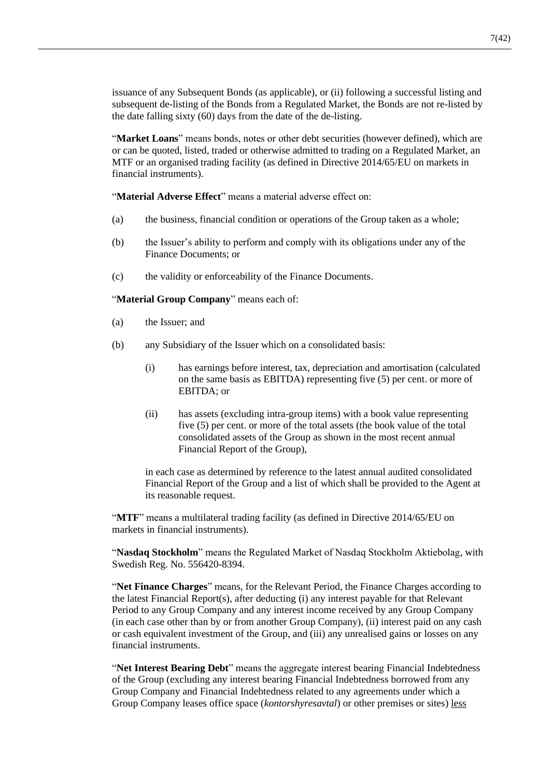issuance of any Subsequent Bonds (as applicable), or (ii) following a successful listing and subsequent de-listing of the Bonds from a Regulated Market, the Bonds are not re-listed by the date falling sixty (60) days from the date of the de-listing.

"**Market Loans**" means bonds, notes or other debt securities (however defined), which are or can be quoted, listed, traded or otherwise admitted to trading on a Regulated Market, an MTF or an organised trading facility (as defined in Directive 2014/65/EU on markets in financial instruments).

"**Material Adverse Effect**" means a material adverse effect on:

- (a) the business, financial condition or operations of the Group taken as a whole;
- (b) the Issuer's ability to perform and comply with its obligations under any of the Finance Documents; or
- (c) the validity or enforceability of the Finance Documents.

"**Material Group Company**" means each of:

- (a) the Issuer; and
- (b) any Subsidiary of the Issuer which on a consolidated basis:
	- (i) has earnings before interest, tax, depreciation and amortisation (calculated on the same basis as EBITDA) representing five (5) per cent. or more of EBITDA; or
	- (ii) has assets (excluding intra-group items) with a book value representing five (5) per cent. or more of the total assets (the book value of the total consolidated assets of the Group as shown in the most recent annual Financial Report of the Group),

in each case as determined by reference to the latest annual audited consolidated Financial Report of the Group and a list of which shall be provided to the Agent at its reasonable request.

"**MTF**" means a multilateral trading facility (as defined in Directive 2014/65/EU on markets in financial instruments).

"**Nasdaq Stockholm**" means the Regulated Market of Nasdaq Stockholm Aktiebolag, with Swedish Reg. No. 556420-8394.

"**Net Finance Charges**" means, for the Relevant Period, the Finance Charges according to the latest Financial Report(s), after deducting (i) any interest payable for that Relevant Period to any Group Company and any interest income received by any Group Company (in each case other than by or from another Group Company), (ii) interest paid on any cash or cash equivalent investment of the Group, and (iii) any unrealised gains or losses on any financial instruments.

"**Net Interest Bearing Debt**" means the aggregate interest bearing Financial Indebtedness of the Group (excluding any interest bearing Financial Indebtedness borrowed from any Group Company and Financial Indebtedness related to any agreements under which a Group Company leases office space (*kontorshyresavtal*) or other premises or sites) less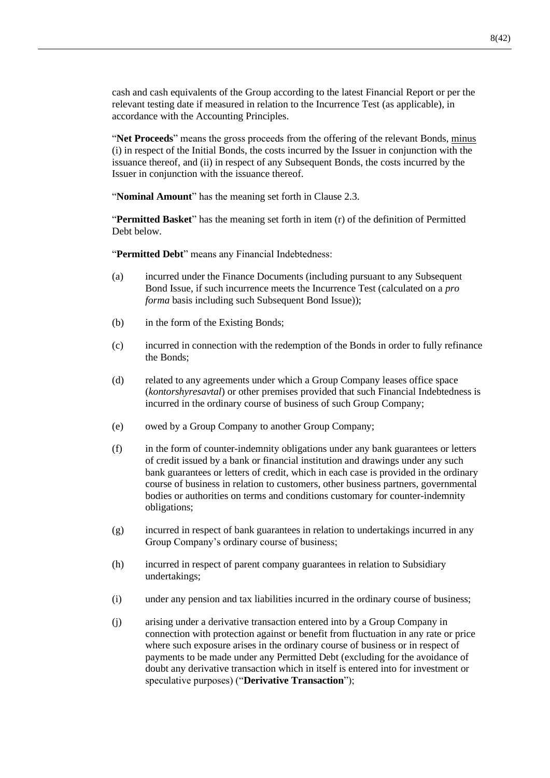cash and cash equivalents of the Group according to the latest Financial Report or per the relevant testing date if measured in relation to the Incurrence Test (as applicable), in accordance with the Accounting Principles.

"**Net Proceeds**" means the gross proceeds from the offering of the relevant Bonds, minus (i) in respect of the Initial Bonds, the costs incurred by the Issuer in conjunction with the issuance thereof, and (ii) in respect of any Subsequent Bonds, the costs incurred by the Issuer in conjunction with the issuance thereof.

"**Nominal Amount**" has the meaning set forth in Clause [2.3.](#page-15-0)

"**Permitted Basket**" has the meaning set forth in item [\(r\)](#page-11-0) of the definition of Permitted Debt below.

"**Permitted Debt**" means any Financial Indebtedness:

- (a) incurred under the Finance Documents (including pursuant to any Subsequent Bond Issue, if such incurrence meets the Incurrence Test (calculated on a *pro forma* basis including such Subsequent Bond Issue));
- (b) in the form of the Existing Bonds;
- (c) incurred in connection with the redemption of the Bonds in order to fully refinance the Bonds;
- (d) related to any agreements under which a Group Company leases office space (*kontorshyresavtal*) or other premises provided that such Financial Indebtedness is incurred in the ordinary course of business of such Group Company;
- (e) owed by a Group Company to another Group Company;
- <span id="page-10-1"></span>(f) in the form of counter-indemnity obligations under any bank guarantees or letters of credit issued by a bank or financial institution and drawings under any such bank guarantees or letters of credit, which in each case is provided in the ordinary course of business in relation to customers, other business partners, governmental bodies or authorities on terms and conditions customary for counter-indemnity obligations;
- (g) incurred in respect of bank guarantees in relation to undertakings incurred in any Group Company's ordinary course of business;
- <span id="page-10-2"></span>(h) incurred in respect of parent company guarantees in relation to Subsidiary undertakings;
- (i) under any pension and tax liabilities incurred in the ordinary course of business;
- <span id="page-10-0"></span>(j) arising under a derivative transaction entered into by a Group Company in connection with protection against or benefit from fluctuation in any rate or price where such exposure arises in the ordinary course of business or in respect of payments to be made under any Permitted Debt (excluding for the avoidance of doubt any derivative transaction which in itself is entered into for investment or speculative purposes) ("**Derivative Transaction**");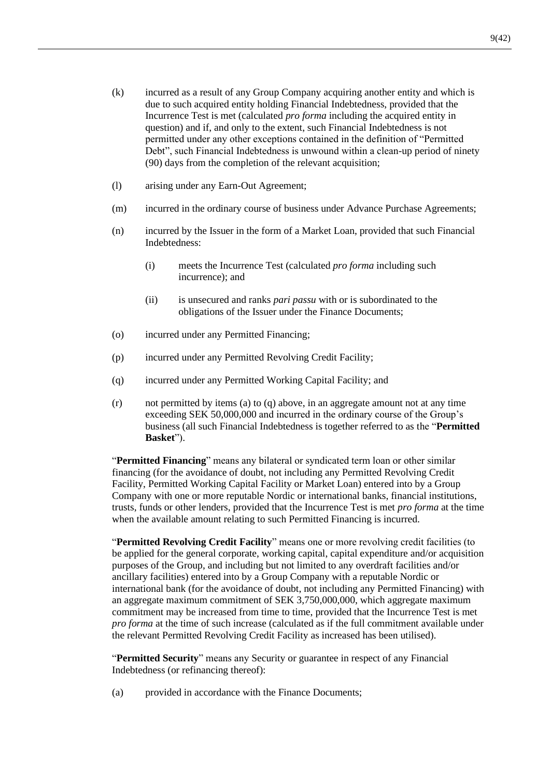- <span id="page-11-2"></span>(k) incurred as a result of any Group Company acquiring another entity and which is due to such acquired entity holding Financial Indebtedness, provided that the Incurrence Test is met (calculated *pro forma* including the acquired entity in question) and if, and only to the extent, such Financial Indebtedness is not permitted under any other exceptions contained in the definition of "Permitted Debt", such Financial Indebtedness is unwound within a clean-up period of ninety (90) days from the completion of the relevant acquisition;
- (l) arising under any Earn-Out Agreement;
- (m) incurred in the ordinary course of business under Advance Purchase Agreements;
- (n) incurred by the Issuer in the form of a Market Loan, provided that such Financial Indebtedness:
	- (i) meets the Incurrence Test (calculated *pro forma* including such incurrence); and
	- (ii) is unsecured and ranks *pari passu* with or is subordinated to the obligations of the Issuer under the Finance Documents;
- (o) incurred under any Permitted Financing;
- (p) incurred under any Permitted Revolving Credit Facility;
- <span id="page-11-1"></span>(q) incurred under any Permitted Working Capital Facility; and
- <span id="page-11-0"></span> $(r)$  not permitted by items (a) to [\(q\)](#page-11-1) above, in an aggregate amount not at any time exceeding SEK 50,000,000 and incurred in the ordinary course of the Group's business (all such Financial Indebtedness is together referred to as the "**Permitted Basket**").

"**Permitted Financing**" means any bilateral or syndicated term loan or other similar financing (for the avoidance of doubt, not including any Permitted Revolving Credit Facility, Permitted Working Capital Facility or Market Loan) entered into by a Group Company with one or more reputable Nordic or international banks, financial institutions, trusts, funds or other lenders, provided that the Incurrence Test is met *pro forma* at the time when the available amount relating to such Permitted Financing is incurred.

"**Permitted Revolving Credit Facility**" means one or more revolving credit facilities (to be applied for the general corporate, working capital, capital expenditure and/or acquisition purposes of the Group, and including but not limited to any overdraft facilities and/or ancillary facilities) entered into by a Group Company with a reputable Nordic or international bank (for the avoidance of doubt, not including any Permitted Financing) with an aggregate maximum commitment of SEK 3,750,000,000, which aggregate maximum commitment may be increased from time to time, provided that the Incurrence Test is met *pro forma* at the time of such increase (calculated as if the full commitment available under the relevant Permitted Revolving Credit Facility as increased has been utilised).

"**Permitted Security**" means any Security or guarantee in respect of any Financial Indebtedness (or refinancing thereof):

(a) provided in accordance with the Finance Documents;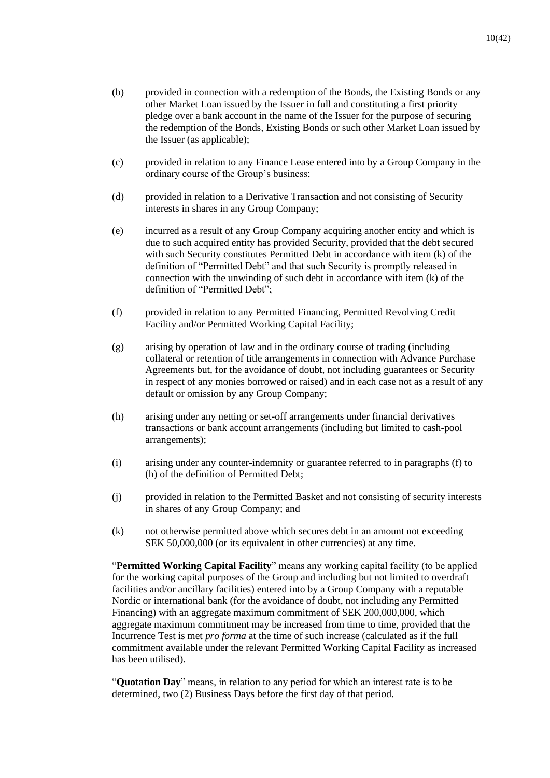- (b) provided in connection with a redemption of the Bonds, the Existing Bonds or any other Market Loan issued by the Issuer in full and constituting a first priority pledge over a bank account in the name of the Issuer for the purpose of securing the redemption of the Bonds, Existing Bonds or such other Market Loan issued by the Issuer (as applicable);
- (c) provided in relation to any Finance Lease entered into by a Group Company in the ordinary course of the Group's business;
- (d) provided in relation to a Derivative Transaction and not consisting of Security interests in shares in any Group Company;
- (e) incurred as a result of any Group Company acquiring another entity and which is due to such acquired entity has provided Security, provided that the debt secured with such Security constitutes Permitted Debt in accordance with item [\(k\)](#page-11-2) of the definition of "Permitted Debt" and that such Security is promptly released in connection with the unwinding of such debt in accordance with item [\(k\)](#page-11-2) of the definition of "Permitted Debt";
- (f) provided in relation to any Permitted Financing, Permitted Revolving Credit Facility and/or Permitted Working Capital Facility;
- (g) arising by operation of law and in the ordinary course of trading (including collateral or retention of title arrangements in connection with Advance Purchase Agreements but, for the avoidance of doubt, not including guarantees or Security in respect of any monies borrowed or raised) and in each case not as a result of any default or omission by any Group Company;
- (h) arising under any netting or set-off arrangements under financial derivatives transactions or bank account arrangements (including but limited to cash-pool arrangements);
- (i) arising under any counter-indemnity or guarantee referred to in paragraphs [\(f\)](#page-10-1) to [\(h\)](#page-10-2) of the definition of Permitted Debt;
- (j) provided in relation to the Permitted Basket and not consisting of security interests in shares of any Group Company; and
- (k) not otherwise permitted above which secures debt in an amount not exceeding SEK 50,000,000 (or its equivalent in other currencies) at any time.

"**Permitted Working Capital Facility**" means any working capital facility (to be applied for the working capital purposes of the Group and including but not limited to overdraft facilities and/or ancillary facilities) entered into by a Group Company with a reputable Nordic or international bank (for the avoidance of doubt, not including any Permitted Financing) with an aggregate maximum commitment of SEK 200,000,000, which aggregate maximum commitment may be increased from time to time, provided that the Incurrence Test is met *pro forma* at the time of such increase (calculated as if the full commitment available under the relevant Permitted Working Capital Facility as increased has been utilised).

"**Quotation Day**" means, in relation to any period for which an interest rate is to be determined, two (2) Business Days before the first day of that period.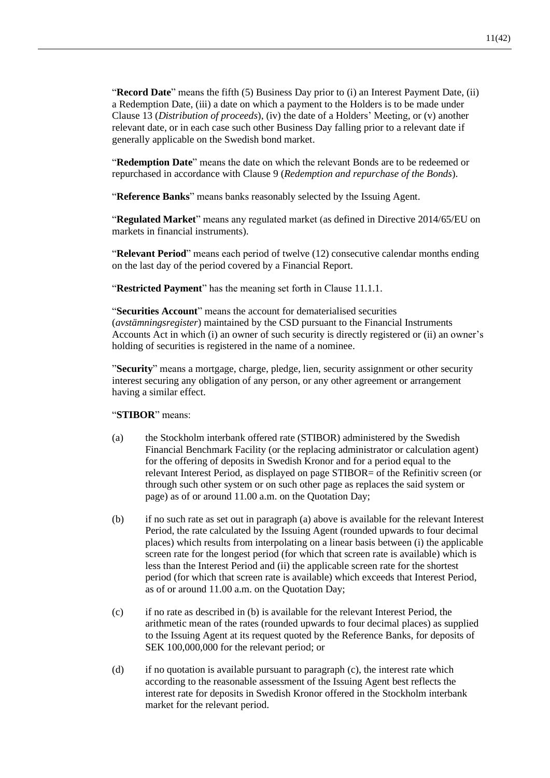"**Record Date**" means the fifth (5) Business Day prior to (i) an Interest Payment Date, (ii) a Redemption Date, (iii) a date on which a payment to the Holders is to be made under Clause [13](#page-28-0) (*Distribution of proceeds*), (iv) the date of a Holders' Meeting, or (v) another relevant date, or in each case such other Business Day falling prior to a relevant date if generally applicable on the Swedish bond market.

"**Redemption Date**" means the date on which the relevant Bonds are to be redeemed or repurchased in accordance with Clause [9](#page-19-0) (*Redemption and repurchase of the Bonds*).

"**Reference Banks**" means banks reasonably selected by the Issuing Agent.

"**Regulated Market**" means any regulated market (as defined in Directive 2014/65/EU on markets in financial instruments).

"**Relevant Period**" means each period of twelve (12) consecutive calendar months ending on the last day of the period covered by a Financial Report.

"**Restricted Payment**" has the meaning set forth in Claus[e 11.1.1.](#page-22-0)

"**Securities Account**" means the account for dematerialised securities (*avstämningsregister*) maintained by the CSD pursuant to the Financial Instruments Accounts Act in which (i) an owner of such security is directly registered or (ii) an owner's holding of securities is registered in the name of a nominee.

"**Security**" means a mortgage, charge, pledge, lien, security assignment or other security interest securing any obligation of any person, or any other agreement or arrangement having a similar effect.

"**STIBOR**" means:

- (a) the Stockholm interbank offered rate (STIBOR) administered by the Swedish Financial Benchmark Facility (or the replacing administrator or calculation agent) for the offering of deposits in Swedish Kronor and for a period equal to the relevant Interest Period, as displayed on page STIBOR= of the Refinitiv screen (or through such other system or on such other page as replaces the said system or page) as of or around 11.00 a.m. on the Quotation Day;
- <span id="page-13-0"></span>(b) if no such rate as set out in paragraph (a) above is available for the relevant Interest Period, the rate calculated by the Issuing Agent (rounded upwards to four decimal places) which results from interpolating on a linear basis between (i) the applicable screen rate for the longest period (for which that screen rate is available) which is less than the Interest Period and (ii) the applicable screen rate for the shortest period (for which that screen rate is available) which exceeds that Interest Period, as of or around 11.00 a.m. on the Quotation Day;
- <span id="page-13-1"></span>(c) if no rate as described in [\(b\)](#page-13-0) is available for the relevant Interest Period, the arithmetic mean of the rates (rounded upwards to four decimal places) as supplied to the Issuing Agent at its request quoted by the Reference Banks, for deposits of SEK 100,000,000 for the relevant period; or
- (d) if no quotation is available pursuant to paragraph [\(c\),](#page-13-1) the interest rate which according to the reasonable assessment of the Issuing Agent best reflects the interest rate for deposits in Swedish Kronor offered in the Stockholm interbank market for the relevant period.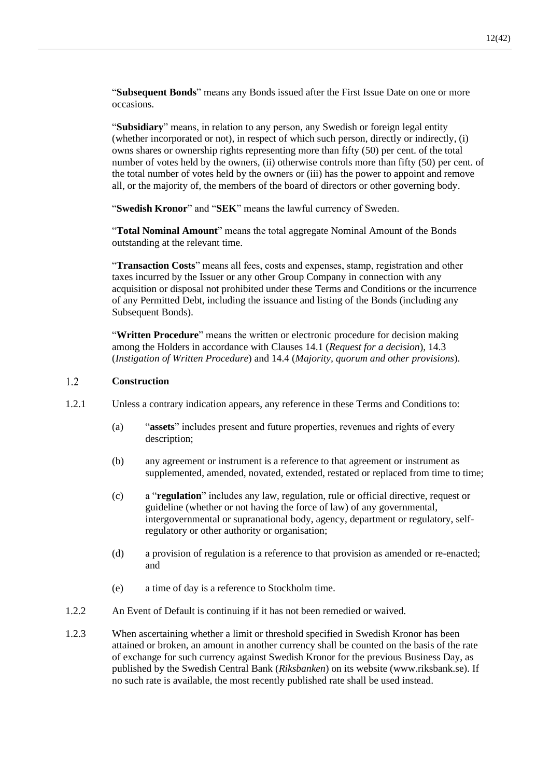"**Subsequent Bonds**" means any Bonds issued after the First Issue Date on one or more occasions.

"**Subsidiary**" means, in relation to any person, any Swedish or foreign legal entity (whether incorporated or not), in respect of which such person, directly or indirectly, (i) owns shares or ownership rights representing more than fifty (50) per cent. of the total number of votes held by the owners, (ii) otherwise controls more than fifty (50) per cent. of the total number of votes held by the owners or (iii) has the power to appoint and remove all, or the majority of, the members of the board of directors or other governing body.

"**Swedish Kronor**" and "**SEK**" means the lawful currency of Sweden.

"**Total Nominal Amount**" means the total aggregate Nominal Amount of the Bonds outstanding at the relevant time.

"**Transaction Costs**" means all fees, costs and expenses, stamp, registration and other taxes incurred by the Issuer or any other Group Company in connection with any acquisition or disposal not prohibited under these Terms and Conditions or the incurrence of any Permitted Debt, including the issuance and listing of the Bonds (including any Subsequent Bonds).

"**Written Procedure**" means the written or electronic procedure for decision making among the Holders in accordance with Clauses [14.1](#page-29-0) (*[Request for a decision](#page-29-0)*), [14.3](#page-30-1) (*[Instigation of Written Procedure](#page-30-1)*) and [14.4](#page-31-0) (*[Majority, quorum and other provisions](#page-31-0)*).

#### $1.2$ **Construction**

- 1.2.1 Unless a contrary indication appears, any reference in these Terms and Conditions to:
	- (a) "**assets**" includes present and future properties, revenues and rights of every description;
	- (b) any agreement or instrument is a reference to that agreement or instrument as supplemented, amended, novated, extended, restated or replaced from time to time;
	- (c) a "**regulation**" includes any law, regulation, rule or official directive, request or guideline (whether or not having the force of law) of any governmental, intergovernmental or supranational body, agency, department or regulatory, selfregulatory or other authority or organisation;
	- (d) a provision of regulation is a reference to that provision as amended or re-enacted; and
	- (e) a time of day is a reference to Stockholm time.
- 1.2.2 An Event of Default is continuing if it has not been remedied or waived.
- 1.2.3 When ascertaining whether a limit or threshold specified in Swedish Kronor has been attained or broken, an amount in another currency shall be counted on the basis of the rate of exchange for such currency against Swedish Kronor for the previous Business Day, as published by the Swedish Central Bank (*Riksbanken*) on its website (www.riksbank.se). If no such rate is available, the most recently published rate shall be used instead.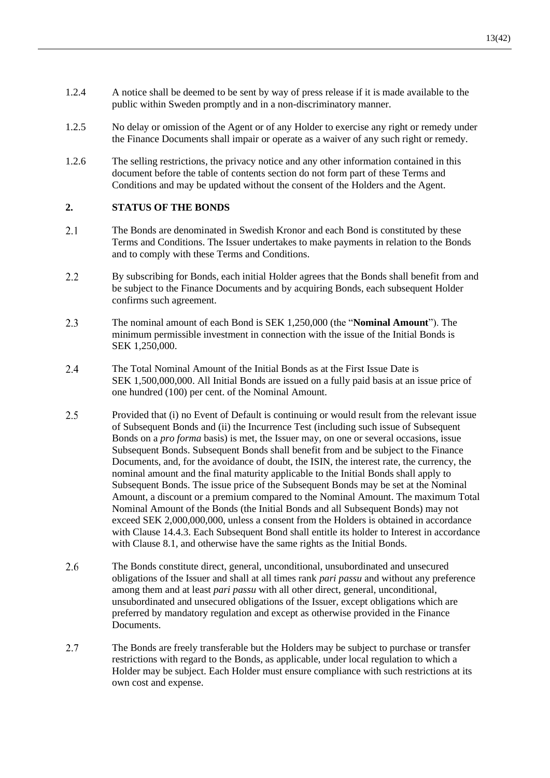- 1.2.4 A notice shall be deemed to be sent by way of press release if it is made available to the public within Sweden promptly and in a non-discriminatory manner.
- 1.2.5 No delay or omission of the Agent or of any Holder to exercise any right or remedy under the Finance Documents shall impair or operate as a waiver of any such right or remedy.
- 1.2.6 The selling restrictions, the privacy notice and any other information contained in this document before the table of contents section do not form part of these Terms and Conditions and may be updated without the consent of the Holders and the Agent.

### **2. STATUS OF THE BONDS**

- $2.1$ The Bonds are denominated in Swedish Kronor and each Bond is constituted by these Terms and Conditions. The Issuer undertakes to make payments in relation to the Bonds and to comply with these Terms and Conditions.
- $2.2$ By subscribing for Bonds, each initial Holder agrees that the Bonds shall benefit from and be subject to the Finance Documents and by acquiring Bonds, each subsequent Holder confirms such agreement.
- <span id="page-15-0"></span>2.3 The nominal amount of each Bond is SEK 1,250,000 (the "**Nominal Amount**"). The minimum permissible investment in connection with the issue of the Initial Bonds is SEK 1,250,000.
- $2.4$ The Total Nominal Amount of the Initial Bonds as at the First Issue Date is SEK 1,500,000,000. All Initial Bonds are issued on a fully paid basis at an issue price of one hundred (100) per cent. of the Nominal Amount.
- $2.5$ Provided that (i) no Event of Default is continuing or would result from the relevant issue of Subsequent Bonds and (ii) the Incurrence Test (including such issue of Subsequent Bonds on a *pro forma* basis) is met, the Issuer may, on one or several occasions, issue Subsequent Bonds. Subsequent Bonds shall benefit from and be subject to the Finance Documents, and, for the avoidance of doubt, the ISIN, the interest rate, the currency, the nominal amount and the final maturity applicable to the Initial Bonds shall apply to Subsequent Bonds. The issue price of the Subsequent Bonds may be set at the Nominal Amount, a discount or a premium compared to the Nominal Amount. The maximum Total Nominal Amount of the Bonds (the Initial Bonds and all Subsequent Bonds) may not exceed SEK 2,000,000,000, unless a consent from the Holders is obtained in accordance with Clause [14.4.3.](#page-31-1) Each Subsequent Bond shall entitle its holder to Interest in accordance with Clause [8.1,](#page-18-0) and otherwise have the same rights as the Initial Bonds.
- $2.6$ The Bonds constitute direct, general, unconditional, unsubordinated and unsecured obligations of the Issuer and shall at all times rank *pari passu* and without any preference among them and at least *pari passu* with all other direct, general, unconditional, unsubordinated and unsecured obligations of the Issuer, except obligations which are preferred by mandatory regulation and except as otherwise provided in the Finance Documents.
- $2.7$ The Bonds are freely transferable but the Holders may be subject to purchase or transfer restrictions with regard to the Bonds, as applicable, under local regulation to which a Holder may be subject. Each Holder must ensure compliance with such restrictions at its own cost and expense.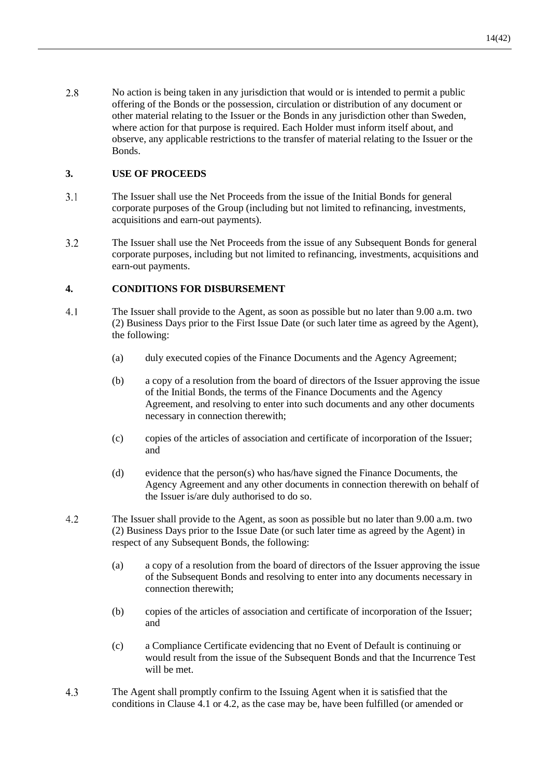2.8 No action is being taken in any jurisdiction that would or is intended to permit a public offering of the Bonds or the possession, circulation or distribution of any document or other material relating to the Issuer or the Bonds in any jurisdiction other than Sweden, where action for that purpose is required. Each Holder must inform itself about, and observe, any applicable restrictions to the transfer of material relating to the Issuer or the Bonds.

### **3. USE OF PROCEEDS**

- $3.1$ The Issuer shall use the Net Proceeds from the issue of the Initial Bonds for general corporate purposes of the Group (including but not limited to refinancing, investments, acquisitions and earn-out payments).
- $3.2$ The Issuer shall use the Net Proceeds from the issue of any Subsequent Bonds for general corporate purposes, including but not limited to refinancing, investments, acquisitions and earn-out payments.

### **4. CONDITIONS FOR DISBURSEMENT**

- <span id="page-16-0"></span> $4.1$ The Issuer shall provide to the Agent, as soon as possible but no later than 9.00 a.m. two (2) Business Days prior to the First Issue Date (or such later time as agreed by the Agent), the following:
	- (a) duly executed copies of the Finance Documents and the Agency Agreement;
	- (b) a copy of a resolution from the board of directors of the Issuer approving the issue of the Initial Bonds, the terms of the Finance Documents and the Agency Agreement, and resolving to enter into such documents and any other documents necessary in connection therewith;
	- (c) copies of the articles of association and certificate of incorporation of the Issuer; and
	- (d) evidence that the person(s) who has/have signed the Finance Documents, the Agency Agreement and any other documents in connection therewith on behalf of the Issuer is/are duly authorised to do so.
- <span id="page-16-1"></span> $4.2$ The Issuer shall provide to the Agent, as soon as possible but no later than 9.00 a.m. two (2) Business Days prior to the Issue Date (or such later time as agreed by the Agent) in respect of any Subsequent Bonds, the following:
	- (a) a copy of a resolution from the board of directors of the Issuer approving the issue of the Subsequent Bonds and resolving to enter into any documents necessary in connection therewith;
	- (b) copies of the articles of association and certificate of incorporation of the Issuer; and
	- (c) a Compliance Certificate evidencing that no Event of Default is continuing or would result from the issue of the Subsequent Bonds and that the Incurrence Test will be met.
- <span id="page-16-2"></span>4.3 The Agent shall promptly confirm to the Issuing Agent when it is satisfied that the conditions in Clause [4.1](#page-16-0) or [4.2,](#page-16-1) as the case may be, have been fulfilled (or amended or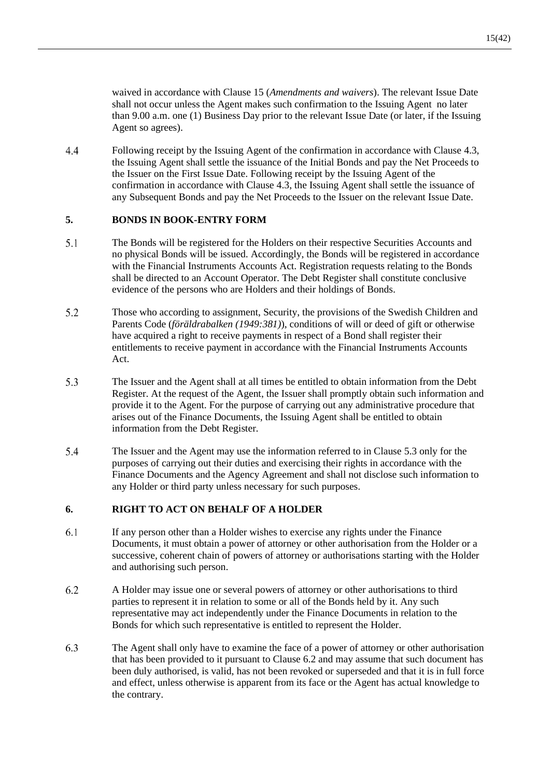waived in accordance with Clause [15](#page-33-0) (*[Amendments](#page-33-0) and waivers*). The relevant Issue Date

shall not occur unless the Agent makes such confirmation to the Issuing Agent no later than 9.00 a.m. one (1) Business Day prior to the relevant Issue Date (or later, if the Issuing Agent so agrees).

 $4.4$ Following receipt by the Issuing Agent of the confirmation in accordance with Clause [4.3,](#page-16-2) the Issuing Agent shall settle the issuance of the Initial Bonds and pay the Net Proceeds to the Issuer on the First Issue Date. Following receipt by the Issuing Agent of the confirmation in accordance with Clause [4.3,](#page-16-2) the Issuing Agent shall settle the issuance of any Subsequent Bonds and pay the Net Proceeds to the Issuer on the relevant Issue Date.

### **5. BONDS IN BOOK-ENTRY FORM**

- $5.1$ The Bonds will be registered for the Holders on their respective Securities Accounts and no physical Bonds will be issued. Accordingly, the Bonds will be registered in accordance with the Financial Instruments Accounts Act. Registration requests relating to the Bonds shall be directed to an Account Operator. The Debt Register shall constitute conclusive evidence of the persons who are Holders and their holdings of Bonds.
- 5.2 Those who according to assignment, Security, the provisions of the Swedish Children and Parents Code (*föräldrabalken (1949:381)*), conditions of will or deed of gift or otherwise have acquired a right to receive payments in respect of a Bond shall register their entitlements to receive payment in accordance with the Financial Instruments Accounts Act.
- <span id="page-17-0"></span>5.3 The Issuer and the Agent shall at all times be entitled to obtain information from the Debt Register. At the request of the Agent, the Issuer shall promptly obtain such information and provide it to the Agent. For the purpose of carrying out any administrative procedure that arises out of the Finance Documents, the Issuing Agent shall be entitled to obtain information from the Debt Register.
- 5.4 The Issuer and the Agent may use the information referred to in Clause [5.3](#page-17-0) only for the purposes of carrying out their duties and exercising their rights in accordance with the Finance Documents and the Agency Agreement and shall not disclose such information to any Holder or third party unless necessary for such purposes.

### <span id="page-17-2"></span>**6. RIGHT TO ACT ON BEHALF OF A HOLDER**

- 6.1 If any person other than a Holder wishes to exercise any rights under the Finance Documents, it must obtain a power of attorney or other authorisation from the Holder or a successive, coherent chain of powers of attorney or authorisations starting with the Holder and authorising such person.
- <span id="page-17-1"></span>6.2 A Holder may issue one or several powers of attorney or other authorisations to third parties to represent it in relation to some or all of the Bonds held by it. Any such representative may act independently under the Finance Documents in relation to the Bonds for which such representative is entitled to represent the Holder.
- 6.3 The Agent shall only have to examine the face of a power of attorney or other authorisation that has been provided to it pursuant to Clause [6.2](#page-17-1) and may assume that such document has been duly authorised, is valid, has not been revoked or superseded and that it is in full force and effect, unless otherwise is apparent from its face or the Agent has actual knowledge to the contrary.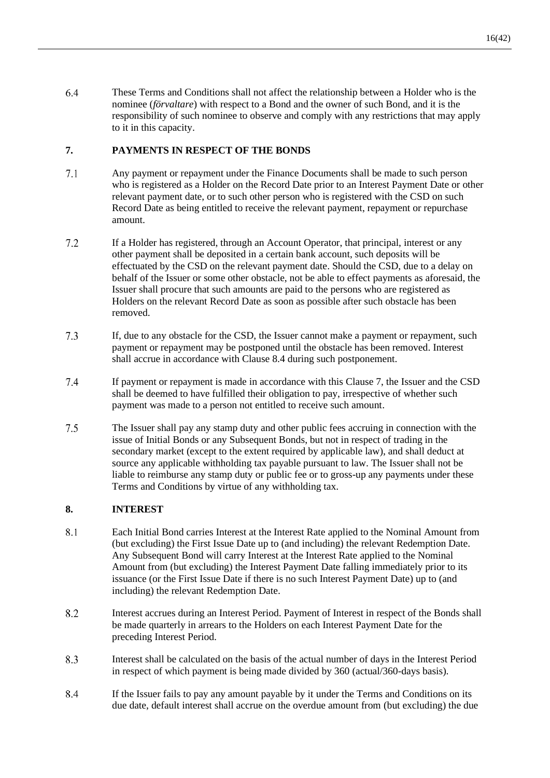6.4 These Terms and Conditions shall not affect the relationship between a Holder who is the nominee (*förvaltare*) with respect to a Bond and the owner of such Bond, and it is the responsibility of such nominee to observe and comply with any restrictions that may apply to it in this capacity.

### <span id="page-18-3"></span>**7. PAYMENTS IN RESPECT OF THE BONDS**

- <span id="page-18-4"></span>7.1 Any payment or repayment under the Finance Documents shall be made to such person who is registered as a Holder on the Record Date prior to an Interest Payment Date or other relevant payment date, or to such other person who is registered with the CSD on such Record Date as being entitled to receive the relevant payment, repayment or repurchase amount.
- $7.2$ If a Holder has registered, through an Account Operator, that principal, interest or any other payment shall be deposited in a certain bank account, such deposits will be effectuated by the CSD on the relevant payment date. Should the CSD, due to a delay on behalf of the Issuer or some other obstacle, not be able to effect payments as aforesaid, the Issuer shall procure that such amounts are paid to the persons who are registered as Holders on the relevant Record Date as soon as possible after such obstacle has been removed.
- $7.3$ If, due to any obstacle for the CSD, the Issuer cannot make a payment or repayment, such payment or repayment may be postponed until the obstacle has been removed. Interest shall accrue in accordance with Clause [8.4](#page-18-2) during such postponement.
- $7.4$ If payment or repayment is made in accordance with this Clause [7,](#page-18-3) the Issuer and the CSD shall be deemed to have fulfilled their obligation to pay, irrespective of whether such payment was made to a person not entitled to receive such amount.
- $7.5$ The Issuer shall pay any stamp duty and other public fees accruing in connection with the issue of Initial Bonds or any Subsequent Bonds, but not in respect of trading in the secondary market (except to the extent required by applicable law), and shall deduct at source any applicable withholding tax payable pursuant to law. The Issuer shall not be liable to reimburse any stamp duty or public fee or to gross-up any payments under these Terms and Conditions by virtue of any withholding tax.

### **8. INTEREST**

- <span id="page-18-0"></span> $8.1$ Each Initial Bond carries Interest at the Interest Rate applied to the Nominal Amount from (but excluding) the First Issue Date up to (and including) the relevant Redemption Date. Any Subsequent Bond will carry Interest at the Interest Rate applied to the Nominal Amount from (but excluding) the Interest Payment Date falling immediately prior to its issuance (or the First Issue Date if there is no such Interest Payment Date) up to (and including) the relevant Redemption Date.
- 8.2 Interest accrues during an Interest Period. Payment of Interest in respect of the Bonds shall be made quarterly in arrears to the Holders on each Interest Payment Date for the preceding Interest Period.
- <span id="page-18-1"></span>8.3 Interest shall be calculated on the basis of the actual number of days in the Interest Period in respect of which payment is being made divided by 360 (actual/360-days basis).
- <span id="page-18-2"></span>8.4 If the Issuer fails to pay any amount payable by it under the Terms and Conditions on its due date, default interest shall accrue on the overdue amount from (but excluding) the due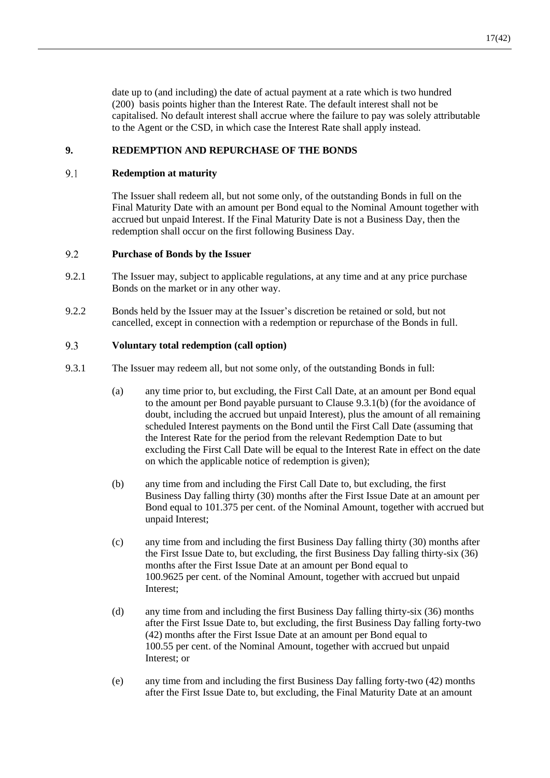date up to (and including) the date of actual payment at a rate which is two hundred (200) basis points higher than the Interest Rate. The default interest shall not be capitalised. No default interest shall accrue where the failure to pay was solely attributable to the Agent or the CSD, in which case the Interest Rate shall apply instead.

### <span id="page-19-0"></span>**9. REDEMPTION AND REPURCHASE OF THE BONDS**

#### 9.1 **Redemption at maturity**

The Issuer shall redeem all, but not some only, of the outstanding Bonds in full on the Final Maturity Date with an amount per Bond equal to the Nominal Amount together with accrued but unpaid Interest. If the Final Maturity Date is not a Business Day, then the redemption shall occur on the first following Business Day.

#### 9.2 **Purchase of Bonds by the Issuer**

- 9.2.1 The Issuer may, subject to applicable regulations, at any time and at any price purchase Bonds on the market or in any other way.
- 9.2.2 Bonds held by the Issuer may at the Issuer's discretion be retained or sold, but not cancelled, except in connection with a redemption or repurchase of the Bonds in full.

#### <span id="page-19-3"></span>9.3 **Voluntary total redemption (call option)**

- <span id="page-19-2"></span><span id="page-19-1"></span>9.3.1 The Issuer may redeem all, but not some only, of the outstanding Bonds in full:
	- (a) any time prior to, but excluding, the First Call Date, at an amount per Bond equal to the amount per Bond payable pursuant to Clause [9.3.1](#page-19-1)[\(b\)](#page-19-2) (for the avoidance of doubt, including the accrued but unpaid Interest), plus the amount of all remaining scheduled Interest payments on the Bond until the First Call Date (assuming that the Interest Rate for the period from the relevant Redemption Date to but excluding the First Call Date will be equal to the Interest Rate in effect on the date on which the applicable notice of redemption is given);
	- (b) any time from and including the First Call Date to, but excluding, the first Business Day falling thirty (30) months after the First Issue Date at an amount per Bond equal to 101.375 per cent. of the Nominal Amount, together with accrued but unpaid Interest;
	- (c) any time from and including the first Business Day falling thirty (30) months after the First Issue Date to, but excluding, the first Business Day falling thirty-six (36) months after the First Issue Date at an amount per Bond equal to 100.9625 per cent. of the Nominal Amount, together with accrued but unpaid Interest;
	- (d) any time from and including the first Business Day falling thirty-six (36) months after the First Issue Date to, but excluding, the first Business Day falling forty-two (42) months after the First Issue Date at an amount per Bond equal to 100.55 per cent. of the Nominal Amount, together with accrued but unpaid Interest; or
	- (e) any time from and including the first Business Day falling forty-two (42) months after the First Issue Date to, but excluding, the Final Maturity Date at an amount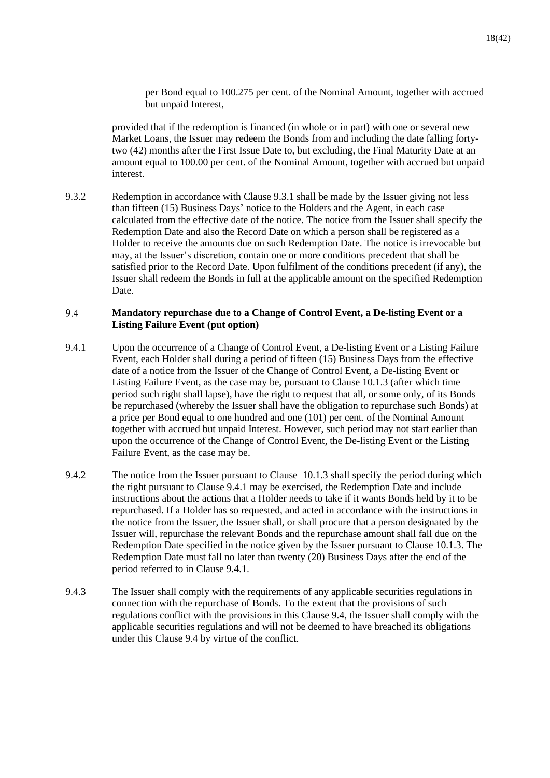per Bond equal to 100.275 per cent. of the Nominal Amount, together with accrued but unpaid Interest,

provided that if the redemption is financed (in whole or in part) with one or several new Market Loans, the Issuer may redeem the Bonds from and including the date falling fortytwo (42) months after the First Issue Date to, but excluding, the Final Maturity Date at an amount equal to 100.00 per cent. of the Nominal Amount, together with accrued but unpaid interest.

9.3.2 Redemption in accordance with Clause [9.3.1](#page-19-1) shall be made by the Issuer giving not less than fifteen (15) Business Days' notice to the Holders and the Agent, in each case calculated from the effective date of the notice. The notice from the Issuer shall specify the Redemption Date and also the Record Date on which a person shall be registered as a Holder to receive the amounts due on such Redemption Date. The notice is irrevocable but may, at the Issuer's discretion, contain one or more conditions precedent that shall be satisfied prior to the Record Date. Upon fulfilment of the conditions precedent (if any), the Issuer shall redeem the Bonds in full at the applicable amount on the specified Redemption Date.

#### <span id="page-20-1"></span>9.4 **Mandatory repurchase due to a Change of Control Event, a De-listing Event or a Listing Failure Event (put option)**

- <span id="page-20-0"></span>9.4.1 Upon the occurrence of a Change of Control Event, a De-listing Event or a Listing Failure Event, each Holder shall during a period of fifteen (15) Business Days from the effective date of a notice from the Issuer of the Change of Control Event, a De-listing Event or Listing Failure Event, as the case may be, pursuant to Clause [10.1.3](#page-21-4) (after which time period such right shall lapse), have the right to request that all, or some only, of its Bonds be repurchased (whereby the Issuer shall have the obligation to repurchase such Bonds) at a price per Bond equal to one hundred and one (101) per cent. of the Nominal Amount together with accrued but unpaid Interest. However, such period may not start earlier than upon the occurrence of the Change of Control Event, the De-listing Event or the Listing Failure Event, as the case may be.
- 9.4.2 The notice from the Issuer pursuant to Clause [10.1.3](#page-21-4) shall specify the period during which the right pursuant to Clause [9.4.1](#page-20-0) may be exercised, the Redemption Date and include instructions about the actions that a Holder needs to take if it wants Bonds held by it to be repurchased. If a Holder has so requested, and acted in accordance with the instructions in the notice from the Issuer, the Issuer shall, or shall procure that a person designated by the Issuer will, repurchase the relevant Bonds and the repurchase amount shall fall due on the Redemption Date specified in the notice given by the Issuer pursuant to Clause [10.1.3.](#page-21-4) The Redemption Date must fall no later than twenty (20) Business Days after the end of the period referred to in Clause [9.4.1.](#page-20-0)
- 9.4.3 The Issuer shall comply with the requirements of any applicable securities regulations in connection with the repurchase of Bonds. To the extent that the provisions of such regulations conflict with the provisions in this Clause [9.4,](#page-20-1) the Issuer shall comply with the applicable securities regulations and will not be deemed to have breached its obligations under this Clause [9.4](#page-20-1) by virtue of the conflict.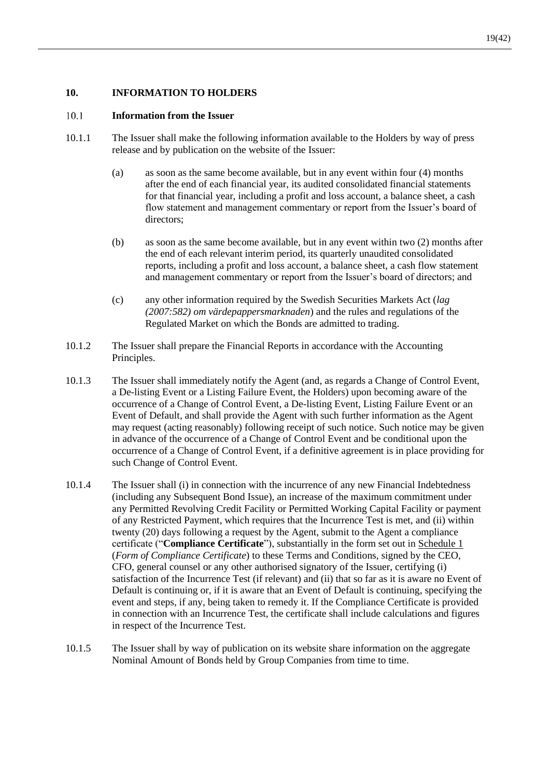### **10. INFORMATION TO HOLDERS**

#### $10.1$ **Information from the Issuer**

- <span id="page-21-3"></span><span id="page-21-2"></span><span id="page-21-1"></span>10.1.1 The Issuer shall make the following information available to the Holders by way of press release and by publication on the website of the Issuer:
	- (a) as soon as the same become available, but in any event within four (4) months after the end of each financial year, its audited consolidated financial statements for that financial year, including a profit and loss account, a balance sheet, a cash flow statement and management commentary or report from the Issuer's board of directors;
	- (b) as soon as the same become available, but in any event within two (2) months after the end of each relevant interim period, its quarterly unaudited consolidated reports, including a profit and loss account, a balance sheet, a cash flow statement and management commentary or report from the Issuer's board of directors; and
	- (c) any other information required by the Swedish Securities Markets Act (*lag (2007:582) om värdepappersmarknaden*) and the rules and regulations of the Regulated Market on which the Bonds are admitted to trading.
- 10.1.2 The Issuer shall prepare the Financial Reports in accordance with the Accounting Principles.
- <span id="page-21-4"></span>10.1.3 The Issuer shall immediately notify the Agent (and, as regards a Change of Control Event, a De-listing Event or a Listing Failure Event, the Holders) upon becoming aware of the occurrence of a Change of Control Event, a De-listing Event, Listing Failure Event or an Event of Default, and shall provide the Agent with such further information as the Agent may request (acting reasonably) following receipt of such notice. Such notice may be given in advance of the occurrence of a Change of Control Event and be conditional upon the occurrence of a Change of Control Event, if a definitive agreement is in place providing for such Change of Control Event.
- <span id="page-21-0"></span>10.1.4 The Issuer shall (i) in connection with the incurrence of any new Financial Indebtedness (including any Subsequent Bond Issue), an increase of the maximum commitment under any Permitted Revolving Credit Facility or Permitted Working Capital Facility or payment of any Restricted Payment, which requires that the Incurrence Test is met, and (ii) within twenty (20) days following a request by the Agent, submit to the Agent a compliance certificate ("**Compliance Certificate**"), substantially in the form set out in [Schedule 1](#page-42-0) (*Form of Compliance Certificate*) to these Terms and Conditions, signed by the CEO, CFO, general counsel or any other authorised signatory of the Issuer, certifying (i) satisfaction of the Incurrence Test (if relevant) and (ii) that so far as it is aware no Event of Default is continuing or, if it is aware that an Event of Default is continuing, specifying the event and steps, if any, being taken to remedy it. If the Compliance Certificate is provided in connection with an Incurrence Test, the certificate shall include calculations and figures in respect of the Incurrence Test.
- 10.1.5 The Issuer shall by way of publication on its website share information on the aggregate Nominal Amount of Bonds held by Group Companies from time to time.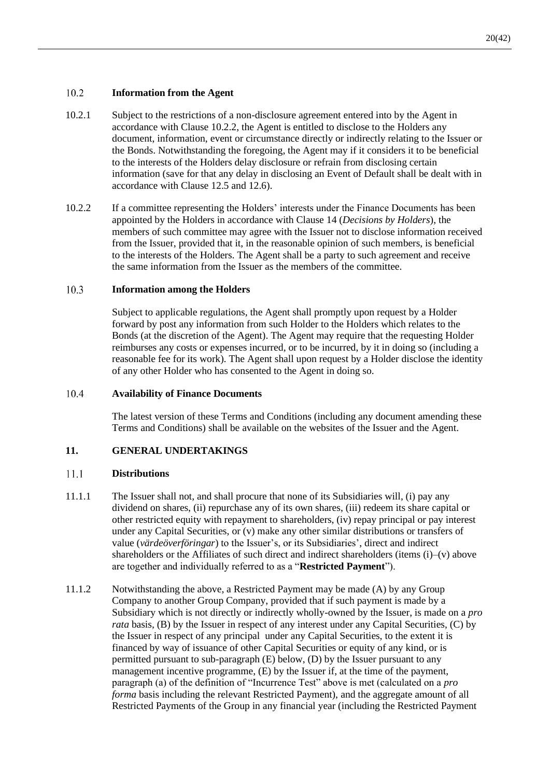#### 10.2 **Information from the Agent**

- 10.2.1 Subject to the restrictions of a non-disclosure agreement entered into by the Agent in accordance with Clause [10.2.2,](#page-22-1) the Agent is entitled to disclose to the Holders any document, information, event or circumstance directly or indirectly relating to the Issuer or the Bonds. Notwithstanding the foregoing, the Agent may if it considers it to be beneficial to the interests of the Holders delay disclosure or refrain from disclosing certain information (save for that any delay in disclosing an Event of Default shall be dealt with in accordance with Clause [12.5](#page-27-0) and [12.6\)](#page-27-1).
- <span id="page-22-1"></span>10.2.2 If a committee representing the Holders' interests under the Finance Documents has been appointed by the Holders in accordance with Clause [14](#page-29-1) (*Decisions by Holders*), the members of such committee may agree with the Issuer not to disclose information received from the Issuer, provided that it, in the reasonable opinion of such members, is beneficial to the interests of the Holders. The Agent shall be a party to such agreement and receive the same information from the Issuer as the members of the committee.

#### $10.3$ **Information among the Holders**

Subject to applicable regulations, the Agent shall promptly upon request by a Holder forward by post any information from such Holder to the Holders which relates to the Bonds (at the discretion of the Agent). The Agent may require that the requesting Holder reimburses any costs or expenses incurred, or to be incurred, by it in doing so (including a reasonable fee for its work). The Agent shall upon request by a Holder disclose the identity of any other Holder who has consented to the Agent in doing so.

#### <span id="page-22-2"></span>10.4 **Availability of Finance Documents**

The latest version of these Terms and Conditions (including any document amending these Terms and Conditions) shall be available on the websites of the Issuer and the Agent.

### **11. GENERAL UNDERTAKINGS**

#### 11.1 **Distributions**

- <span id="page-22-0"></span>11.1.1 The Issuer shall not, and shall procure that none of its Subsidiaries will, (i) pay any dividend on shares, (ii) repurchase any of its own shares, (iii) redeem its share capital or other restricted equity with repayment to shareholders, (iv) repay principal or pay interest under any Capital Securities, or (v) make any other similar distributions or transfers of value (*värdeöverföringar*) to the Issuer's, or its Subsidiaries', direct and indirect shareholders or the Affiliates of such direct and indirect shareholders (items (i)–(v) above are together and individually referred to as a "**Restricted Payment**").
- <span id="page-22-3"></span>11.1.2 Notwithstanding the above, a Restricted Payment may be made (A) by any Group Company to another Group Company, provided that if such payment is made by a Subsidiary which is not directly or indirectly wholly-owned by the Issuer, is made on a *pro rata* basis, (B) by the Issuer in respect of any interest under any Capital Securities, (C) by the Issuer in respect of any principal under any Capital Securities, to the extent it is financed by way of issuance of other Capital Securities or equity of any kind, or is permitted pursuant to sub-paragraph (E) below, (D) by the Issuer pursuant to any management incentive programme, (E) by the Issuer if, at the time of the payment, paragraph (a) of the definition of "Incurrence Test" above is met (calculated on a *pro forma* basis including the relevant Restricted Payment), and the aggregate amount of all Restricted Payments of the Group in any financial year (including the Restricted Payment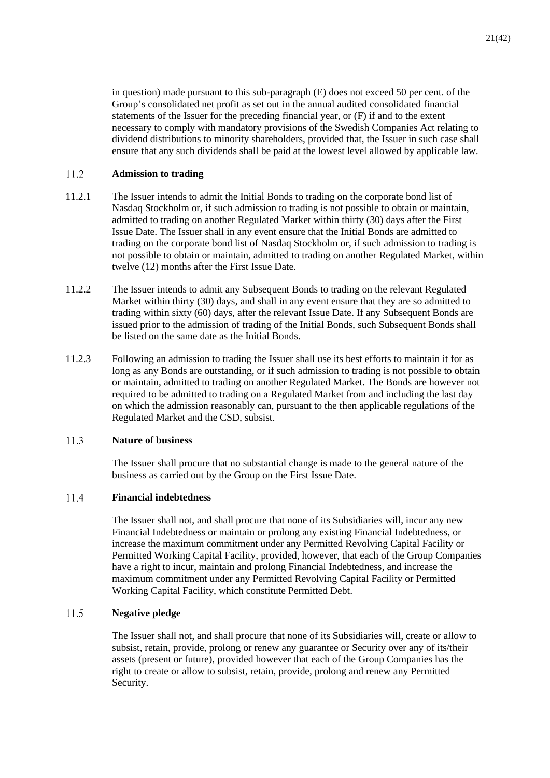in question) made pursuant to this sub-paragraph (E) does not exceed 50 per cent. of the Group's consolidated net profit as set out in the annual audited consolidated financial statements of the Issuer for the preceding financial year, or (F) if and to the extent necessary to comply with mandatory provisions of the Swedish Companies Act relating to dividend distributions to minority shareholders, provided that, the Issuer in such case shall ensure that any such dividends shall be paid at the lowest level allowed by applicable law.

#### $11.2$ **Admission to trading**

- 11.2.1 The Issuer intends to admit the Initial Bonds to trading on the corporate bond list of Nasdaq Stockholm or, if such admission to trading is not possible to obtain or maintain, admitted to trading on another Regulated Market within thirty (30) days after the First Issue Date. The Issuer shall in any event ensure that the Initial Bonds are admitted to trading on the corporate bond list of Nasdaq Stockholm or, if such admission to trading is not possible to obtain or maintain, admitted to trading on another Regulated Market, within twelve (12) months after the First Issue Date.
- 11.2.2 The Issuer intends to admit any Subsequent Bonds to trading on the relevant Regulated Market within thirty (30) days, and shall in any event ensure that they are so admitted to trading within sixty (60) days, after the relevant Issue Date. If any Subsequent Bonds are issued prior to the admission of trading of the Initial Bonds, such Subsequent Bonds shall be listed on the same date as the Initial Bonds.
- 11.2.3 Following an admission to trading the Issuer shall use its best efforts to maintain it for as long as any Bonds are outstanding, or if such admission to trading is not possible to obtain or maintain, admitted to trading on another Regulated Market. The Bonds are however not required to be admitted to trading on a Regulated Market from and including the last day on which the admission reasonably can, pursuant to the then applicable regulations of the Regulated Market and the CSD, subsist.

#### 11.3 **Nature of business**

The Issuer shall procure that no substantial change is made to the general nature of the business as carried out by the Group on the First Issue Date.

#### $11.4$ **Financial indebtedness**

The Issuer shall not, and shall procure that none of its Subsidiaries will, incur any new Financial Indebtedness or maintain or prolong any existing Financial Indebtedness, or increase the maximum commitment under any Permitted Revolving Capital Facility or Permitted Working Capital Facility, provided, however, that each of the Group Companies have a right to incur, maintain and prolong Financial Indebtedness, and increase the maximum commitment under any Permitted Revolving Capital Facility or Permitted Working Capital Facility, which constitute Permitted Debt.

#### $11.5$ **Negative pledge**

The Issuer shall not, and shall procure that none of its Subsidiaries will, create or allow to subsist, retain, provide, prolong or renew any guarantee or Security over any of its/their assets (present or future), provided however that each of the Group Companies has the right to create or allow to subsist, retain, provide, prolong and renew any Permitted Security.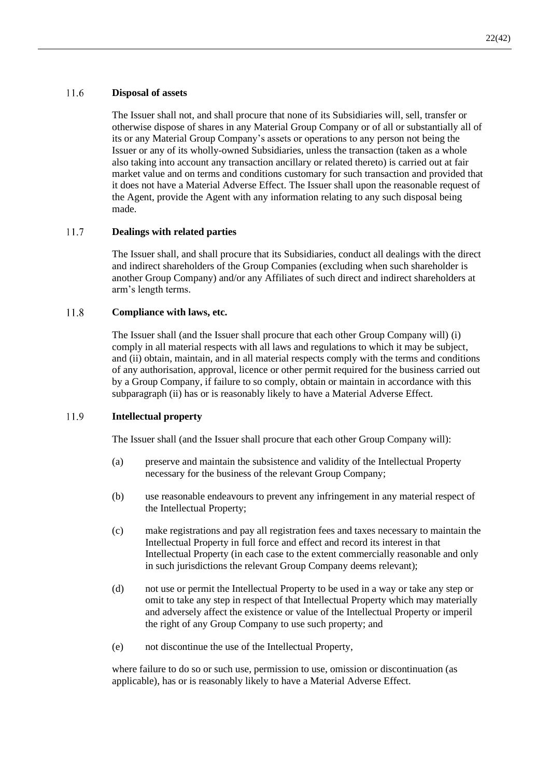#### <span id="page-24-0"></span>11.6 **Disposal of assets**

The Issuer shall not, and shall procure that none of its Subsidiaries will, sell, transfer or otherwise dispose of shares in any Material Group Company or of all or substantially all of its or any Material Group Company's assets or operations to any person not being the Issuer or any of its wholly-owned Subsidiaries, unless the transaction (taken as a whole also taking into account any transaction ancillary or related thereto) is carried out at fair market value and on terms and conditions customary for such transaction and provided that it does not have a Material Adverse Effect. The Issuer shall upon the reasonable request of the Agent, provide the Agent with any information relating to any such disposal being made.

#### $11.7$ **Dealings with related parties**

The Issuer shall, and shall procure that its Subsidiaries, conduct all dealings with the direct and indirect shareholders of the Group Companies (excluding when such shareholder is another Group Company) and/or any Affiliates of such direct and indirect shareholders at arm's length terms.

#### 11.8 **Compliance with laws, etc.**

The Issuer shall (and the Issuer shall procure that each other Group Company will) (i) comply in all material respects with all laws and regulations to which it may be subject, and (ii) obtain, maintain, and in all material respects comply with the terms and conditions of any authorisation, approval, licence or other permit required for the business carried out by a Group Company, if failure to so comply, obtain or maintain in accordance with this subparagraph (ii) has or is reasonably likely to have a Material Adverse Effect.

#### 11.9 **Intellectual property**

The Issuer shall (and the Issuer shall procure that each other Group Company will):

- (a) preserve and maintain the subsistence and validity of the Intellectual Property necessary for the business of the relevant Group Company;
- (b) use reasonable endeavours to prevent any infringement in any material respect of the Intellectual Property;
- (c) make registrations and pay all registration fees and taxes necessary to maintain the Intellectual Property in full force and effect and record its interest in that Intellectual Property (in each case to the extent commercially reasonable and only in such jurisdictions the relevant Group Company deems relevant);
- (d) not use or permit the Intellectual Property to be used in a way or take any step or omit to take any step in respect of that Intellectual Property which may materially and adversely affect the existence or value of the Intellectual Property or imperil the right of any Group Company to use such property; and
- (e) not discontinue the use of the Intellectual Property,

where failure to do so or such use, permission to use, omission or discontinuation (as applicable), has or is reasonably likely to have a Material Adverse Effect.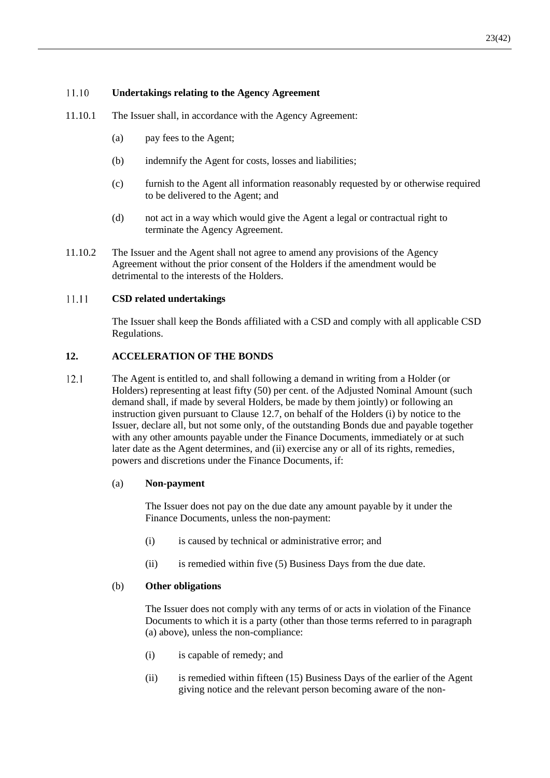#### 11.10 **Undertakings relating to the Agency Agreement**

- 11.10.1 The Issuer shall, in accordance with the Agency Agreement:
	- (a) pay fees to the Agent;
	- (b) indemnify the Agent for costs, losses and liabilities;
	- (c) furnish to the Agent all information reasonably requested by or otherwise required to be delivered to the Agent; and
	- (d) not act in a way which would give the Agent a legal or contractual right to terminate the Agency Agreement.
- 11.10.2 The Issuer and the Agent shall not agree to amend any provisions of the Agency Agreement without the prior consent of the Holders if the amendment would be detrimental to the interests of the Holders.

#### 11.11 **CSD related undertakings**

The Issuer shall keep the Bonds affiliated with a CSD and comply with all applicable CSD Regulations.

### <span id="page-25-1"></span>**12. ACCELERATION OF THE BONDS**

<span id="page-25-0"></span> $12.1$ The Agent is entitled to, and shall following a demand in writing from a Holder (or Holders) representing at least fifty (50) per cent. of the Adjusted Nominal Amount (such demand shall, if made by several Holders, be made by them jointly) or following an instruction given pursuant to Clause [12.7,](#page-28-1) on behalf of the Holders (i) by notice to the Issuer, declare all, but not some only, of the outstanding Bonds due and payable together with any other amounts payable under the Finance Documents, immediately or at such later date as the Agent determines, and (ii) exercise any or all of its rights, remedies, powers and discretions under the Finance Documents, if:

#### (a) **Non-payment**

The Issuer does not pay on the due date any amount payable by it under the Finance Documents, unless the non-payment:

- (i) is caused by technical or administrative error; and
- $(ii)$  is remedied within five  $(5)$  Business Days from the due date.

#### (b) **Other obligations**

The Issuer does not comply with any terms of or acts in violation of the Finance Documents to which it is a party (other than those terms referred to in paragraph (a) above), unless the non-compliance:

- (i) is capable of remedy; and
- (ii) is remedied within fifteen (15) Business Days of the earlier of the Agent giving notice and the relevant person becoming aware of the non-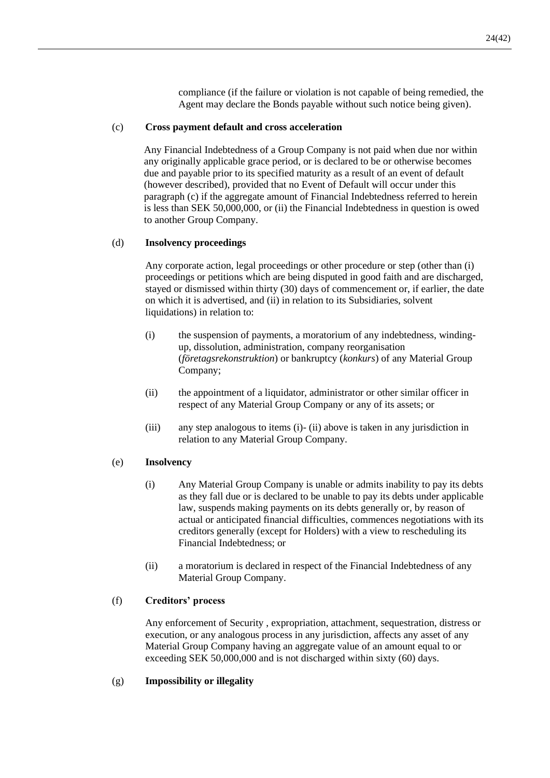compliance (if the failure or violation is not capable of being remedied, the Agent may declare the Bonds payable without such notice being given).

### <span id="page-26-0"></span>(c) **Cross payment default and cross acceleration**

Any Financial Indebtedness of a Group Company is not paid when due nor within any originally applicable grace period, or is declared to be or otherwise becomes due and payable prior to its specified maturity as a result of an event of default (however described), provided that no Event of Default will occur under this paragrap[h \(c\)](#page-26-0) if the aggregate amount of Financial Indebtedness referred to herein is less than SEK 50,000,000, or (ii) the Financial Indebtedness in question is owed to another Group Company.

### (d) **Insolvency proceedings**

Any corporate action, legal proceedings or other procedure or step (other than (i) proceedings or petitions which are being disputed in good faith and are discharged, stayed or dismissed within thirty (30) days of commencement or, if earlier, the date on which it is advertised, and (ii) in relation to its Subsidiaries, solvent liquidations) in relation to:

- <span id="page-26-1"></span>(i) the suspension of payments, a moratorium of any indebtedness, windingup, dissolution, administration, company reorganisation (*företagsrekonstruktion*) or bankruptcy (*konkurs*) of any Material Group Company;
- <span id="page-26-2"></span>(ii) the appointment of a liquidator, administrator or other similar officer in respect of any Material Group Company or any of its assets; or
- (iii) any step analogous to items [\(i\)-](#page-26-1) [\(ii\)](#page-26-2) above is taken in any jurisdiction in relation to any Material Group Company.

### (e) **Insolvency**

- (i) Any Material Group Company is unable or admits inability to pay its debts as they fall due or is declared to be unable to pay its debts under applicable law, suspends making payments on its debts generally or, by reason of actual or anticipated financial difficulties, commences negotiations with its creditors generally (except for Holders) with a view to rescheduling its Financial Indebtedness; or
- (ii) a moratorium is declared in respect of the Financial Indebtedness of any Material Group Company.

### (f) **Creditors' process**

Any enforcement of Security , expropriation, attachment, sequestration, distress or execution, or any analogous process in any jurisdiction, affects any asset of any Material Group Company having an aggregate value of an amount equal to or exceeding SEK 50,000,000 and is not discharged within sixty (60) days.

### (g) **Impossibility or illegality**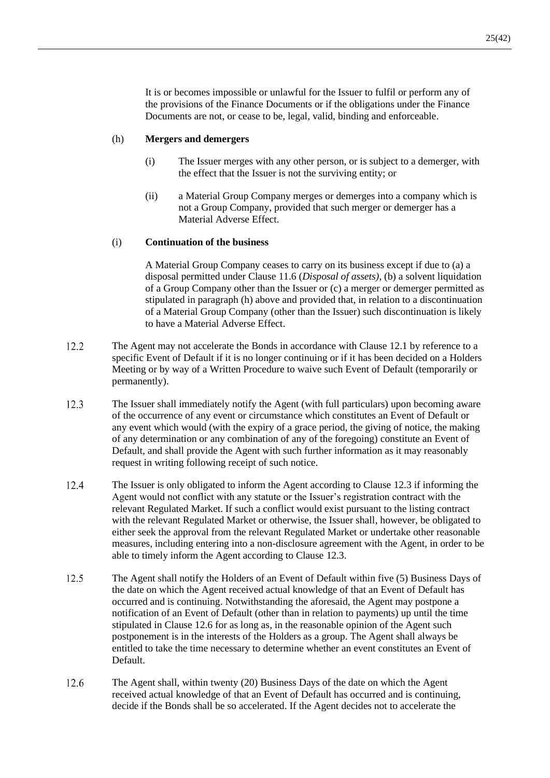It is or becomes impossible or unlawful for the Issuer to fulfil or perform any of the provisions of the Finance Documents or if the obligations under the Finance Documents are not, or cease to be, legal, valid, binding and enforceable.

### (h) **Mergers and demergers**

- (i) The Issuer merges with any other person, or is subject to a demerger, with the effect that the Issuer is not the surviving entity; or
- (ii) a Material Group Company merges or demerges into a company which is not a Group Company, provided that such merger or demerger has a Material Adverse Effect.

#### (i) **Continuation of the business**

A Material Group Company ceases to carry on its business except if due to (a) a disposal permitted under Clause [11.6](#page-24-0) (*[Disposal of assets\)](#page-24-0)*, (b) a solvent liquidation of a Group Company other than the Issuer or (c) a merger or demerger permitted as stipulated in paragraph (h) above and provided that, in relation to a discontinuation of a Material Group Company (other than the Issuer) such discontinuation is likely to have a Material Adverse Effect.

- $12.2$ The Agent may not accelerate the Bonds in accordance with Clause [12.1](#page-25-0) by reference to a specific Event of Default if it is no longer continuing or if it has been decided on a Holders Meeting or by way of a Written Procedure to waive such Event of Default (temporarily or permanently).
- <span id="page-27-2"></span> $12.3$ The Issuer shall immediately notify the Agent (with full particulars) upon becoming aware of the occurrence of any event or circumstance which constitutes an Event of Default or any event which would (with the expiry of a grace period, the giving of notice, the making of any determination or any combination of any of the foregoing) constitute an Event of Default, and shall provide the Agent with such further information as it may reasonably request in writing following receipt of such notice.
- 12.4 The Issuer is only obligated to inform the Agent according to Clause [12.3](#page-27-2) if informing the Agent would not conflict with any statute or the Issuer's registration contract with the relevant Regulated Market. If such a conflict would exist pursuant to the listing contract with the relevant Regulated Market or otherwise, the Issuer shall, however, be obligated to either seek the approval from the relevant Regulated Market or undertake other reasonable measures, including entering into a non-disclosure agreement with the Agent, in order to be able to timely inform the Agent according to Clause [12.3.](#page-27-2)
- <span id="page-27-0"></span> $12.5$ The Agent shall notify the Holders of an Event of Default within five (5) Business Days of the date on which the Agent received actual knowledge of that an Event of Default has occurred and is continuing. Notwithstanding the aforesaid, the Agent may postpone a notification of an Event of Default (other than in relation to payments) up until the time stipulated in Clause [12.6](#page-27-1) for as long as, in the reasonable opinion of the Agent such postponement is in the interests of the Holders as a group. The Agent shall always be entitled to take the time necessary to determine whether an event constitutes an Event of Default.
- <span id="page-27-1"></span>12.6 The Agent shall, within twenty (20) Business Days of the date on which the Agent received actual knowledge of that an Event of Default has occurred and is continuing, decide if the Bonds shall be so accelerated. If the Agent decides not to accelerate the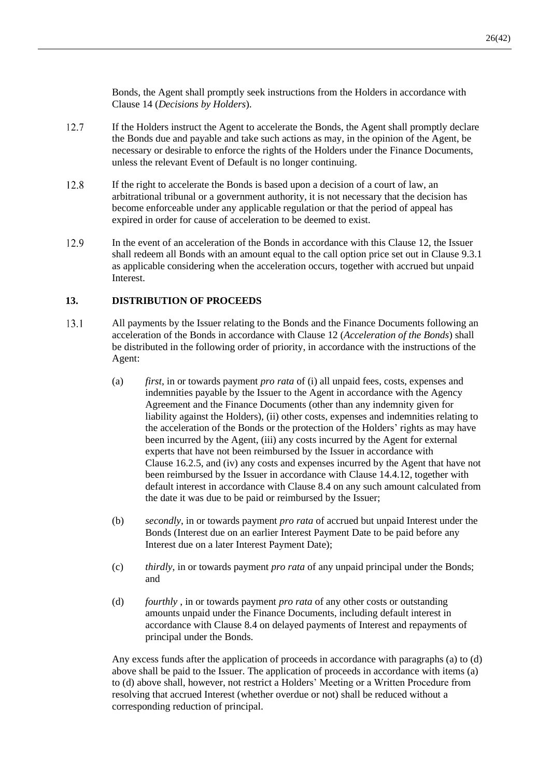Bonds, the Agent shall promptly seek instructions from the Holders in accordance with Clause [14](#page-29-1) (*Decisions by Holders*).

- <span id="page-28-1"></span>12.7 If the Holders instruct the Agent to accelerate the Bonds, the Agent shall promptly declare the Bonds due and payable and take such actions as may, in the opinion of the Agent, be necessary or desirable to enforce the rights of the Holders under the Finance Documents, unless the relevant Event of Default is no longer continuing.
- 12.8 If the right to accelerate the Bonds is based upon a decision of a court of law, an arbitrational tribunal or a government authority, it is not necessary that the decision has become enforceable under any applicable regulation or that the period of appeal has expired in order for cause of acceleration to be deemed to exist.
- 12.9 In the event of an acceleration of the Bonds in accordance with this Clause [12,](#page-25-1) the Issuer shall redeem all Bonds with an amount equal to the call option price set out in Clause [9.3.1](#page-19-1) as applicable considering when the acceleration occurs, together with accrued but unpaid Interest.

### <span id="page-28-0"></span>**13. DISTRIBUTION OF PROCEEDS**

- <span id="page-28-4"></span><span id="page-28-3"></span> $13.1$ All payments by the Issuer relating to the Bonds and the Finance Documents following an acceleration of the Bonds in accordance with Clause [12](#page-25-1) (*Acceleration of the Bonds*) shall be distributed in the following order of priority, in accordance with the instructions of the Agent:
	- (a) *first*, in or towards payment *pro rata* of (i) all unpaid fees, costs, expenses and indemnities payable by the Issuer to the Agent in accordance with the Agency Agreement and the Finance Documents (other than any indemnity given for liability against the Holders), (ii) other costs, expenses and indemnities relating to the acceleration of the Bonds or the protection of the Holders' rights as may have been incurred by the Agent, (iii) any costs incurred by the Agent for external experts that have not been reimbursed by the Issuer in accordance with Clause [16.2.5,](#page-34-0) and (iv) any costs and expenses incurred by the Agent that have not been reimbursed by the Issuer in accordance with Clause [14.4.12,](#page-33-1) together with default interest in accordance with Clause [8.4](#page-18-2) on any such amount calculated from the date it was due to be paid or reimbursed by the Issuer;
	- (b) *secondly*, in or towards payment *pro rata* of accrued but unpaid Interest under the Bonds (Interest due on an earlier Interest Payment Date to be paid before any Interest due on a later Interest Payment Date);
	- (c) *thirdly*, in or towards payment *pro rata* of any unpaid principal under the Bonds; and
	- (d) *fourthly* , in or towards payment *pro rata* of any other costs or outstanding amounts unpaid under the Finance Documents, including default interest in accordance with Clause [8.4](#page-18-2) on delayed payments of Interest and repayments of principal under the Bonds.

<span id="page-28-2"></span>Any excess funds after the application of proceeds in accordance with paragraphs (a) to [\(d\)](#page-28-2) above shall be paid to the Issuer. The application of proceeds in accordance with items (a) to (d) above shall, however, not restrict a Holders' Meeting or a Written Procedure from resolving that accrued Interest (whether overdue or not) shall be reduced without a corresponding reduction of principal.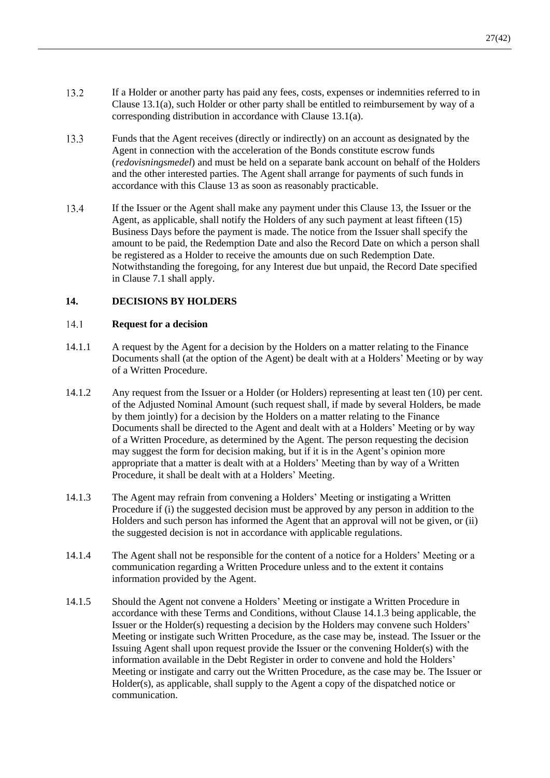- 13.2 If a Holder or another party has paid any fees, costs, expenses or indemnities referred to in Clause [13.1](#page-28-3)[\(a\),](#page-28-4) such Holder or other party shall be entitled to reimbursement by way of a corresponding distribution in accordance with Clause [13.1](#page-28-3)[\(a\).](#page-28-4)
- 13.3 Funds that the Agent receives (directly or indirectly) on an account as designated by the Agent in connection with the acceleration of the Bonds constitute escrow funds (*redovisningsmedel*) and must be held on a separate bank account on behalf of the Holders and the other interested parties. The Agent shall arrange for payments of such funds in accordance with this Clause [13](#page-28-0) as soon as reasonably practicable.
- 13.4 If the Issuer or the Agent shall make any payment under this Clause [13,](#page-28-0) the Issuer or the Agent, as applicable, shall notify the Holders of any such payment at least fifteen (15) Business Days before the payment is made. The notice from the Issuer shall specify the amount to be paid, the Redemption Date and also the Record Date on which a person shall be registered as a Holder to receive the amounts due on such Redemption Date. Notwithstanding the foregoing, for any Interest due but unpaid, the Record Date specified in Clause [7.1](#page-18-4) shall apply.

### <span id="page-29-1"></span>**14. DECISIONS BY HOLDERS**

#### <span id="page-29-0"></span> $14.1$ **Request for a decision**

- 14.1.1 A request by the Agent for a decision by the Holders on a matter relating to the Finance Documents shall (at the option of the Agent) be dealt with at a Holders' Meeting or by way of a Written Procedure.
- 14.1.2 Any request from the Issuer or a Holder (or Holders) representing at least ten (10) per cent. of the Adjusted Nominal Amount (such request shall, if made by several Holders, be made by them jointly) for a decision by the Holders on a matter relating to the Finance Documents shall be directed to the Agent and dealt with at a Holders' Meeting or by way of a Written Procedure, as determined by the Agent. The person requesting the decision may suggest the form for decision making, but if it is in the Agent's opinion more appropriate that a matter is dealt with at a Holders' Meeting than by way of a Written Procedure, it shall be dealt with at a Holders' Meeting.
- <span id="page-29-2"></span>14.1.3 The Agent may refrain from convening a Holders' Meeting or instigating a Written Procedure if (i) the suggested decision must be approved by any person in addition to the Holders and such person has informed the Agent that an approval will not be given, or (ii) the suggested decision is not in accordance with applicable regulations.
- 14.1.4 The Agent shall not be responsible for the content of a notice for a Holders' Meeting or a communication regarding a Written Procedure unless and to the extent it contains information provided by the Agent.
- <span id="page-29-3"></span>14.1.5 Should the Agent not convene a Holders' Meeting or instigate a Written Procedure in accordance with these Terms and Conditions, without Clause [14.1.3](#page-29-2) being applicable, the Issuer or the Holder(s) requesting a decision by the Holders may convene such Holders' Meeting or instigate such Written Procedure, as the case may be, instead. The Issuer or the Issuing Agent shall upon request provide the Issuer or the convening Holder(s) with the information available in the Debt Register in order to convene and hold the Holders' Meeting or instigate and carry out the Written Procedure, as the case may be. The Issuer or Holder(s), as applicable, shall supply to the Agent a copy of the dispatched notice or communication.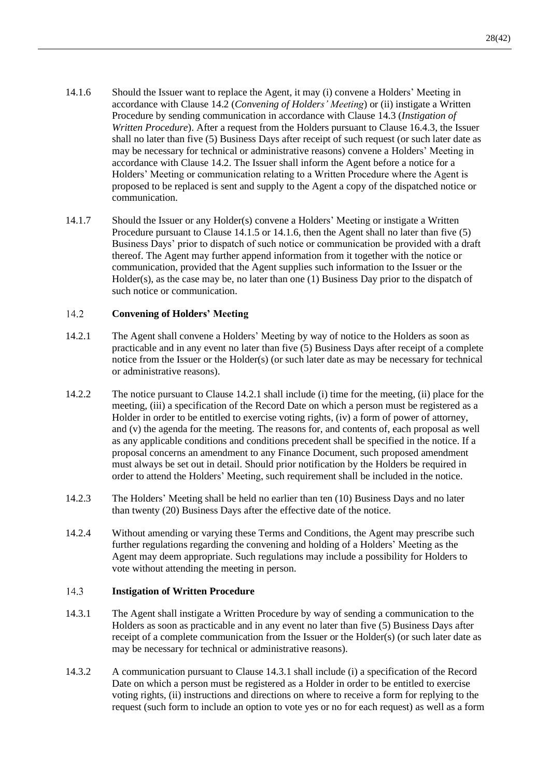- <span id="page-30-2"></span>14.1.6 Should the Issuer want to replace the Agent, it may (i) convene a Holders' Meeting in accordance with Clause [14.2](#page-30-0) (*[Convening of Holders' Meeting](#page-30-0)*) or (ii) instigate a Written Procedure by sending communication in accordance with Clause [14.3](#page-30-1) (*[Instigation of](#page-30-1)  [Written Procedure](#page-30-1)*). After a request from the Holders pursuant to Clause [16.4.3,](#page-36-0) the Issuer shall no later than five (5) Business Days after receipt of such request (or such later date as may be necessary for technical or administrative reasons) convene a Holders' Meeting in accordance with Clause [14.2.](#page-30-0) The Issuer shall inform the Agent before a notice for a Holders' Meeting or communication relating to a Written Procedure where the Agent is proposed to be replaced is sent and supply to the Agent a copy of the dispatched notice or communication.
- 14.1.7 Should the Issuer or any Holder(s) convene a Holders' Meeting or instigate a Written Procedure pursuant to Clause [14.1.5](#page-29-3) or [14.1.6,](#page-30-2) then the Agent shall no later than five (5) Business Days' prior to dispatch of such notice or communication be provided with a draft thereof. The Agent may further append information from it together with the notice or communication, provided that the Agent supplies such information to the Issuer or the  $Holder(s)$ , as the case may be, no later than one (1) Business Day prior to the dispatch of such notice or communication.

#### <span id="page-30-0"></span> $14.2$ **Convening of Holders' Meeting**

- <span id="page-30-3"></span>14.2.1 The Agent shall convene a Holders' Meeting by way of notice to the Holders as soon as practicable and in any event no later than five (5) Business Days after receipt of a complete notice from the Issuer or the Holder(s) (or such later date as may be necessary for technical or administrative reasons).
- <span id="page-30-5"></span>14.2.2 The notice pursuant to Clause [14.2.1](#page-30-3) shall include (i) time for the meeting, (ii) place for the meeting, (iii) a specification of the Record Date on which a person must be registered as a Holder in order to be entitled to exercise voting rights, (iv) a form of power of attorney, and (v) the agenda for the meeting. The reasons for, and contents of, each proposal as well as any applicable conditions and conditions precedent shall be specified in the notice. If a proposal concerns an amendment to any Finance Document, such proposed amendment must always be set out in detail. Should prior notification by the Holders be required in order to attend the Holders' Meeting, such requirement shall be included in the notice.
- 14.2.3 The Holders' Meeting shall be held no earlier than ten (10) Business Days and no later than twenty (20) Business Days after the effective date of the notice.
- <span id="page-30-7"></span>14.2.4 Without amending or varying these Terms and Conditions, the Agent may prescribe such further regulations regarding the convening and holding of a Holders' Meeting as the Agent may deem appropriate. Such regulations may include a possibility for Holders to vote without attending the meeting in person.

#### <span id="page-30-1"></span>14.3 **Instigation of Written Procedure**

- <span id="page-30-4"></span>14.3.1 The Agent shall instigate a Written Procedure by way of sending a communication to the Holders as soon as practicable and in any event no later than five (5) Business Days after receipt of a complete communication from the Issuer or the Holder(s) (or such later date as may be necessary for technical or administrative reasons).
- <span id="page-30-6"></span>14.3.2 A communication pursuant to Clause [14.3.1](#page-30-4) shall include (i) a specification of the Record Date on which a person must be registered as a Holder in order to be entitled to exercise voting rights, (ii) instructions and directions on where to receive a form for replying to the request (such form to include an option to vote yes or no for each request) as well as a form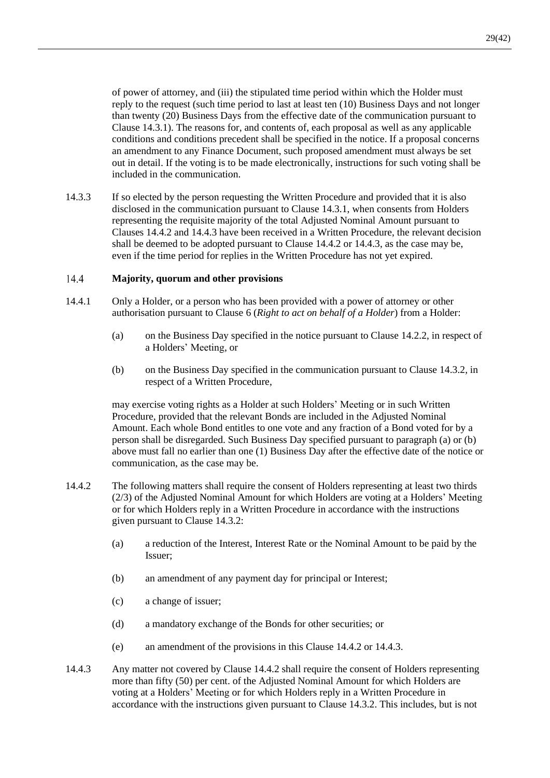of power of attorney, and (iii) the stipulated time period within which the Holder must reply to the request (such time period to last at least ten (10) Business Days and not longer than twenty (20) Business Days from the effective date of the communication pursuant to Clause [14.3.1\)](#page-30-4). The reasons for, and contents of, each proposal as well as any applicable conditions and conditions precedent shall be specified in the notice. If a proposal concerns an amendment to any Finance Document, such proposed amendment must always be set out in detail. If the voting is to be made electronically, instructions for such voting shall be included in the communication.

14.3.3 If so elected by the person requesting the Written Procedure and provided that it is also disclosed in the communication pursuant to Clause [14.3.1,](#page-30-4) when consents from Holders representing the requisite majority of the total Adjusted Nominal Amount pursuant to Clauses [14.4.2](#page-31-2) and [14.4.3](#page-31-1) have been received in a Written Procedure, the relevant decision shall be deemed to be adopted pursuant to Clause [14.4.2](#page-31-2) or [14.4.3,](#page-31-1) as the case may be, even if the time period for replies in the Written Procedure has not yet expired.

#### <span id="page-31-0"></span> $14.4$ **Majority, quorum and other provisions**

- <span id="page-31-5"></span><span id="page-31-3"></span>14.4.1 Only a Holder, or a person who has been provided with a power of attorney or other authorisation pursuant to Clause [6](#page-17-2) (*Right to act on behalf of a Holder*) from a Holder:
	- (a) on the Business Day specified in the notice pursuant to Clause [14.2.2,](#page-30-5) in respect of a Holders' Meeting, or
	- (b) on the Business Day specified in the communication pursuant to Clause [14.3.2,](#page-30-6) in respect of a Written Procedure,

<span id="page-31-4"></span>may exercise voting rights as a Holder at such Holders' Meeting or in such Written Procedure, provided that the relevant Bonds are included in the Adjusted Nominal Amount. Each whole Bond entitles to one vote and any fraction of a Bond voted for by a person shall be disregarded. Such Business Day specified pursuant to paragrap[h \(a\)](#page-31-3) or [\(b\)](#page-31-4) above must fall no earlier than one (1) Business Day after the effective date of the notice or communication, as the case may be.

- <span id="page-31-2"></span>14.4.2 The following matters shall require the consent of Holders representing at least two thirds (2/3) of the Adjusted Nominal Amount for which Holders are voting at a Holders' Meeting or for which Holders reply in a Written Procedure in accordance with the instructions given pursuant to Clause [14.3.2:](#page-30-6)
	- (a) a reduction of the Interest, Interest Rate or the Nominal Amount to be paid by the Issuer;
	- (b) an amendment of any payment day for principal or Interest;
	- (c) a change of issuer;
	- (d) a mandatory exchange of the Bonds for other securities; or
	- (e) an amendment of the provisions in this Clause [14.4.2](#page-31-2) or [14.4.3.](#page-31-1)
- <span id="page-31-1"></span>14.4.3 Any matter not covered by Clause [14.4.2](#page-31-2) shall require the consent of Holders representing more than fifty (50) per cent. of the Adjusted Nominal Amount for which Holders are voting at a Holders' Meeting or for which Holders reply in a Written Procedure in accordance with the instructions given pursuant to Clause [14.3.2.](#page-30-6) This includes, but is not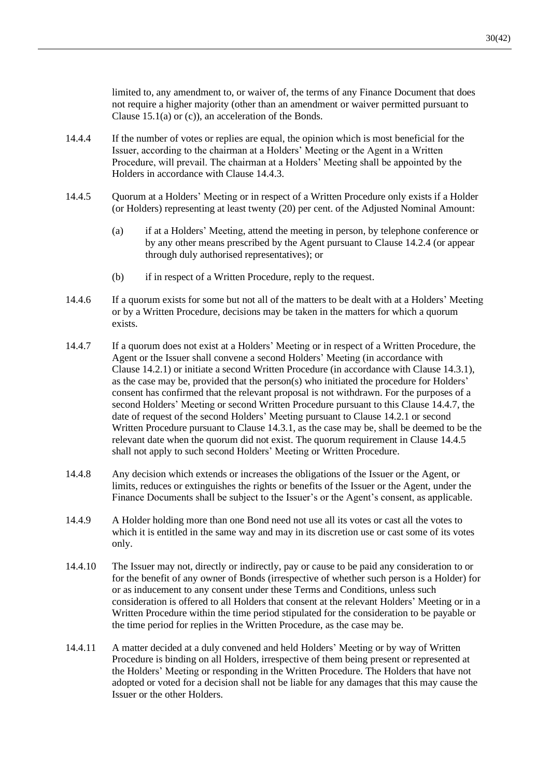limited to, any amendment to, or waiver of, the terms of any Finance Document that does not require a higher majority (other than an amendment or waiver permitted pursuant to Clause [15.1](#page-33-2)[\(a\)](#page-33-3) or [\(c\)\)](#page-33-4), an acceleration of the Bonds.

- 14.4.4 If the number of votes or replies are equal, the opinion which is most beneficial for the Issuer, according to the chairman at a Holders' Meeting or the Agent in a Written Procedure, will prevail. The chairman at a Holders' Meeting shall be appointed by the Holders in accordance with Clause [14.4.3.](#page-31-1)
- <span id="page-32-1"></span>14.4.5 Quorum at a Holders' Meeting or in respect of a Written Procedure only exists if a Holder (or Holders) representing at least twenty (20) per cent. of the Adjusted Nominal Amount:
	- (a) if at a Holders' Meeting, attend the meeting in person, by telephone conference or by any other means prescribed by the Agent pursuant to Clause [14.2.4](#page-30-7) (or appear through duly authorised representatives); or
	- (b) if in respect of a Written Procedure, reply to the request.
- 14.4.6 If a quorum exists for some but not all of the matters to be dealt with at a Holders' Meeting or by a Written Procedure, decisions may be taken in the matters for which a quorum exists.
- <span id="page-32-0"></span>14.4.7 If a quorum does not exist at a Holders' Meeting or in respect of a Written Procedure, the Agent or the Issuer shall convene a second Holders' Meeting (in accordance with Clause [14.2.1\)](#page-30-3) or initiate a second Written Procedure (in accordance with Clause [14.3.1\)](#page-30-4), as the case may be, provided that the person(s) who initiated the procedure for Holders' consent has confirmed that the relevant proposal is not withdrawn. For the purposes of a second Holders' Meeting or second Written Procedure pursuant to this Clause [14.4.7,](#page-32-0) the date of request of the second Holders' Meeting pursuant to Clause [14.2.1](#page-30-3) or second Written Procedure pursuant to Claus[e 14.3.1,](#page-30-4) as the case may be, shall be deemed to be the relevant date when the quorum did not exist. The quorum requirement in Clause [14.4.5](#page-32-1) shall not apply to such second Holders' Meeting or Written Procedure.
- 14.4.8 Any decision which extends or increases the obligations of the Issuer or the Agent, or limits, reduces or extinguishes the rights or benefits of the Issuer or the Agent, under the Finance Documents shall be subject to the Issuer's or the Agent's consent, as applicable.
- 14.4.9 A Holder holding more than one Bond need not use all its votes or cast all the votes to which it is entitled in the same way and may in its discretion use or cast some of its votes only.
- 14.4.10 The Issuer may not, directly or indirectly, pay or cause to be paid any consideration to or for the benefit of any owner of Bonds (irrespective of whether such person is a Holder) for or as inducement to any consent under these Terms and Conditions, unless such consideration is offered to all Holders that consent at the relevant Holders' Meeting or in a Written Procedure within the time period stipulated for the consideration to be payable or the time period for replies in the Written Procedure, as the case may be.
- 14.4.11 A matter decided at a duly convened and held Holders' Meeting or by way of Written Procedure is binding on all Holders, irrespective of them being present or represented at the Holders' Meeting or responding in the Written Procedure. The Holders that have not adopted or voted for a decision shall not be liable for any damages that this may cause the Issuer or the other Holders.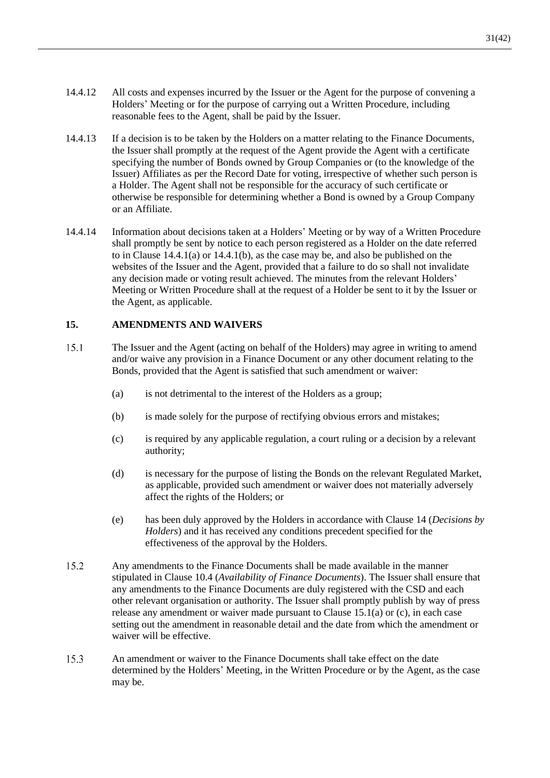- <span id="page-33-1"></span>14.4.12 All costs and expenses incurred by the Issuer or the Agent for the purpose of convening a Holders' Meeting or for the purpose of carrying out a Written Procedure, including reasonable fees to the Agent, shall be paid by the Issuer.
- 14.4.13 If a decision is to be taken by the Holders on a matter relating to the Finance Documents, the Issuer shall promptly at the request of the Agent provide the Agent with a certificate specifying the number of Bonds owned by Group Companies or (to the knowledge of the Issuer) Affiliates as per the Record Date for voting, irrespective of whether such person is a Holder. The Agent shall not be responsible for the accuracy of such certificate or otherwise be responsible for determining whether a Bond is owned by a Group Company or an Affiliate.
- <span id="page-33-5"></span>14.4.14 Information about decisions taken at a Holders' Meeting or by way of a Written Procedure shall promptly be sent by notice to each person registered as a Holder on the date referred to in Clause [14.4.1](#page-31-5)[\(a\)](#page-31-3) or [14.4.1](#page-31-5)[\(b\),](#page-31-4) as the case may be, and also be published on the websites of the Issuer and the Agent, provided that a failure to do so shall not invalidate any decision made or voting result achieved. The minutes from the relevant Holders' Meeting or Written Procedure shall at the request of a Holder be sent to it by the Issuer or the Agent, as applicable.

### <span id="page-33-0"></span>**15. AMENDMENTS AND WAIVERS**

- <span id="page-33-4"></span><span id="page-33-3"></span><span id="page-33-2"></span> $15.1$ The Issuer and the Agent (acting on behalf of the Holders) may agree in writing to amend and/or waive any provision in a Finance Document or any other document relating to the Bonds, provided that the Agent is satisfied that such amendment or waiver:
	- (a) is not detrimental to the interest of the Holders as a group;
	- (b) is made solely for the purpose of rectifying obvious errors and mistakes;
	- (c) is required by any applicable regulation, a court ruling or a decision by a relevant authority;
	- (d) is necessary for the purpose of listing the Bonds on the relevant Regulated Market, as applicable, provided such amendment or waiver does not materially adversely affect the rights of the Holders; or
	- (e) has been duly approved by the Holders in accordance with Clause [14](#page-29-1) (*Decisions by Holders*) and it has received any conditions precedent specified for the effectiveness of the approval by the Holders.
- <span id="page-33-6"></span>15.2 Any amendments to the Finance Documents shall be made available in the manner stipulated in Clause [10.4](#page-22-2) (*Availability of Finance Documents*). The Issuer shall ensure that any amendments to the Finance Documents are duly registered with the CSD and each other relevant organisation or authority. The Issuer shall promptly publish by way of press release any amendment or waiver made pursuant to Clause [15.1](#page-33-2)[\(a\)](#page-33-3) or [\(c\),](#page-33-4) in each case setting out the amendment in reasonable detail and the date from which the amendment or waiver will be effective.
- 15.3 An amendment or waiver to the Finance Documents shall take effect on the date determined by the Holders' Meeting, in the Written Procedure or by the Agent, as the case may be.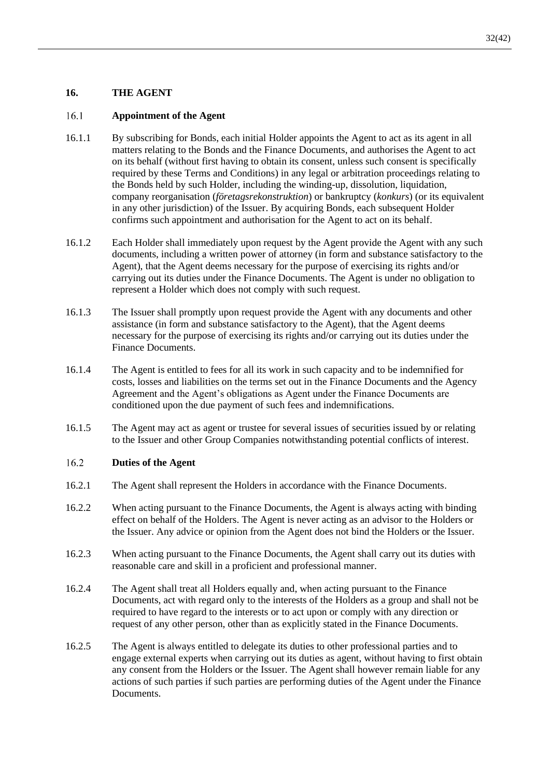### **16. THE AGENT**

#### $16.1$ **Appointment of the Agent**

- 16.1.1 By subscribing for Bonds, each initial Holder appoints the Agent to act as its agent in all matters relating to the Bonds and the Finance Documents, and authorises the Agent to act on its behalf (without first having to obtain its consent, unless such consent is specifically required by these Terms and Conditions) in any legal or arbitration proceedings relating to the Bonds held by such Holder, including the winding-up, dissolution, liquidation, company reorganisation (*företagsrekonstruktion*) or bankruptcy (*konkurs*) (or its equivalent in any other jurisdiction) of the Issuer. By acquiring Bonds, each subsequent Holder confirms such appointment and authorisation for the Agent to act on its behalf.
- <span id="page-34-1"></span>16.1.2 Each Holder shall immediately upon request by the Agent provide the Agent with any such documents, including a written power of attorney (in form and substance satisfactory to the Agent), that the Agent deems necessary for the purpose of exercising its rights and/or carrying out its duties under the Finance Documents. The Agent is under no obligation to represent a Holder which does not comply with such request.
- 16.1.3 The Issuer shall promptly upon request provide the Agent with any documents and other assistance (in form and substance satisfactory to the Agent), that the Agent deems necessary for the purpose of exercising its rights and/or carrying out its duties under the Finance Documents.
- 16.1.4 The Agent is entitled to fees for all its work in such capacity and to be indemnified for costs, losses and liabilities on the terms set out in the Finance Documents and the Agency Agreement and the Agent's obligations as Agent under the Finance Documents are conditioned upon the due payment of such fees and indemnifications.
- 16.1.5 The Agent may act as agent or trustee for several issues of securities issued by or relating to the Issuer and other Group Companies notwithstanding potential conflicts of interest.

#### $16.2$ **Duties of the Agent**

- 16.2.1 The Agent shall represent the Holders in accordance with the Finance Documents.
- 16.2.2 When acting pursuant to the Finance Documents, the Agent is always acting with binding effect on behalf of the Holders. The Agent is never acting as an advisor to the Holders or the Issuer. Any advice or opinion from the Agent does not bind the Holders or the Issuer.
- 16.2.3 When acting pursuant to the Finance Documents, the Agent shall carry out its duties with reasonable care and skill in a proficient and professional manner.
- 16.2.4 The Agent shall treat all Holders equally and, when acting pursuant to the Finance Documents, act with regard only to the interests of the Holders as a group and shall not be required to have regard to the interests or to act upon or comply with any direction or request of any other person, other than as explicitly stated in the Finance Documents.
- <span id="page-34-0"></span>16.2.5 The Agent is always entitled to delegate its duties to other professional parties and to engage external experts when carrying out its duties as agent, without having to first obtain any consent from the Holders or the Issuer. The Agent shall however remain liable for any actions of such parties if such parties are performing duties of the Agent under the Finance Documents.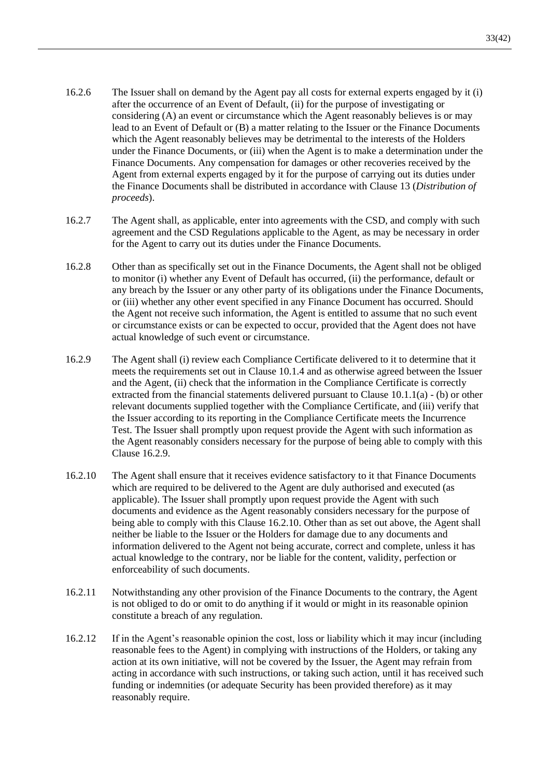- 16.2.6 The Issuer shall on demand by the Agent pay all costs for external experts engaged by it (i) after the occurrence of an Event of Default, (ii) for the purpose of investigating or considering (A) an event or circumstance which the Agent reasonably believes is or may lead to an Event of Default or (B) a matter relating to the Issuer or the Finance Documents which the Agent reasonably believes may be detrimental to the interests of the Holders under the Finance Documents, or (iii) when the Agent is to make a determination under the Finance Documents. Any compensation for damages or other recoveries received by the Agent from external experts engaged by it for the purpose of carrying out its duties under the Finance Documents shall be distributed in accordance with Clause [13](#page-28-0) (*Distribution of proceeds*).
- 16.2.7 The Agent shall, as applicable, enter into agreements with the CSD, and comply with such agreement and the CSD Regulations applicable to the Agent, as may be necessary in order for the Agent to carry out its duties under the Finance Documents.
- 16.2.8 Other than as specifically set out in the Finance Documents, the Agent shall not be obliged to monitor (i) whether any Event of Default has occurred, (ii) the performance, default or any breach by the Issuer or any other party of its obligations under the Finance Documents, or (iii) whether any other event specified in any Finance Document has occurred. Should the Agent not receive such information, the Agent is entitled to assume that no such event or circumstance exists or can be expected to occur, provided that the Agent does not have actual knowledge of such event or circumstance.
- <span id="page-35-0"></span>16.2.9 The Agent shall (i) review each Compliance Certificate delivered to it to determine that it meets the requirements set out in Clause [10.1.4](#page-21-0) and as otherwise agreed between the Issuer and the Agent, (ii) check that the information in the Compliance Certificate is correctly extracted from the financial statements delivered pursuant to Clause [10.1.1](#page-21-1)[\(a\)](#page-21-2) - [\(b\)](#page-21-3) or other relevant documents supplied together with the Compliance Certificate, and (iii) verify that the Issuer according to its reporting in the Compliance Certificate meets the Incurrence Test. The Issuer shall promptly upon request provide the Agent with such information as the Agent reasonably considers necessary for the purpose of being able to comply with this Clause [16.2.9.](#page-35-0)
- <span id="page-35-1"></span>16.2.10 The Agent shall ensure that it receives evidence satisfactory to it that Finance Documents which are required to be delivered to the Agent are duly authorised and executed (as applicable). The Issuer shall promptly upon request provide the Agent with such documents and evidence as the Agent reasonably considers necessary for the purpose of being able to comply with this Clause [16.2.10.](#page-35-1) Other than as set out above, the Agent shall neither be liable to the Issuer or the Holders for damage due to any documents and information delivered to the Agent not being accurate, correct and complete, unless it has actual knowledge to the contrary, nor be liable for the content, validity, perfection or enforceability of such documents.
- 16.2.11 Notwithstanding any other provision of the Finance Documents to the contrary, the Agent is not obliged to do or omit to do anything if it would or might in its reasonable opinion constitute a breach of any regulation.
- <span id="page-35-2"></span>16.2.12 If in the Agent's reasonable opinion the cost, loss or liability which it may incur (including reasonable fees to the Agent) in complying with instructions of the Holders, or taking any action at its own initiative, will not be covered by the Issuer, the Agent may refrain from acting in accordance with such instructions, or taking such action, until it has received such funding or indemnities (or adequate Security has been provided therefore) as it may reasonably require.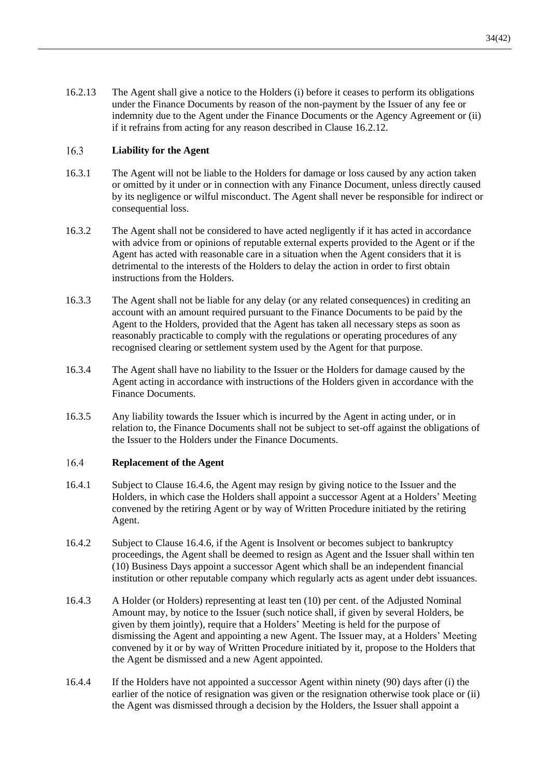<span id="page-36-3"></span>16.2.13 The Agent shall give a notice to the Holders (i) before it ceases to perform its obligations under the Finance Documents by reason of the non-payment by the Issuer of any fee or indemnity due to the Agent under the Finance Documents or the Agency Agreement or (ii) if it refrains from acting for any reason described in Clause [16.2.12.](#page-35-2)

#### 16.3 **Liability for the Agent**

- 16.3.1 The Agent will not be liable to the Holders for damage or loss caused by any action taken or omitted by it under or in connection with any Finance Document, unless directly caused by its negligence or wilful misconduct. The Agent shall never be responsible for indirect or consequential loss.
- 16.3.2 The Agent shall not be considered to have acted negligently if it has acted in accordance with advice from or opinions of reputable external experts provided to the Agent or if the Agent has acted with reasonable care in a situation when the Agent considers that it is detrimental to the interests of the Holders to delay the action in order to first obtain instructions from the Holders.
- 16.3.3 The Agent shall not be liable for any delay (or any related consequences) in crediting an account with an amount required pursuant to the Finance Documents to be paid by the Agent to the Holders, provided that the Agent has taken all necessary steps as soon as reasonably practicable to comply with the regulations or operating procedures of any recognised clearing or settlement system used by the Agent for that purpose.
- 16.3.4 The Agent shall have no liability to the Issuer or the Holders for damage caused by the Agent acting in accordance with instructions of the Holders given in accordance with the Finance Documents.
- 16.3.5 Any liability towards the Issuer which is incurred by the Agent in acting under, or in relation to, the Finance Documents shall not be subject to set-off against the obligations of the Issuer to the Holders under the Finance Documents.

#### <span id="page-36-2"></span> $16.4$ **Replacement of the Agent**

- 16.4.1 Subject to Clause [16.4.6,](#page-37-0) the Agent may resign by giving notice to the Issuer and the Holders, in which case the Holders shall appoint a successor Agent at a Holders' Meeting convened by the retiring Agent or by way of Written Procedure initiated by the retiring Agent.
- 16.4.2 Subject to Clause [16.4.6,](#page-37-0) if the Agent is Insolvent or becomes subject to bankruptcy proceedings, the Agent shall be deemed to resign as Agent and the Issuer shall within ten (10) Business Days appoint a successor Agent which shall be an independent financial institution or other reputable company which regularly acts as agent under debt issuances.
- <span id="page-36-0"></span>16.4.3 A Holder (or Holders) representing at least ten (10) per cent. of the Adjusted Nominal Amount may, by notice to the Issuer (such notice shall, if given by several Holders, be given by them jointly), require that a Holders' Meeting is held for the purpose of dismissing the Agent and appointing a new Agent. The Issuer may, at a Holders' Meeting convened by it or by way of Written Procedure initiated by it, propose to the Holders that the Agent be dismissed and a new Agent appointed.
- <span id="page-36-1"></span>16.4.4 If the Holders have not appointed a successor Agent within ninety (90) days after (i) the earlier of the notice of resignation was given or the resignation otherwise took place or (ii) the Agent was dismissed through a decision by the Holders, the Issuer shall appoint a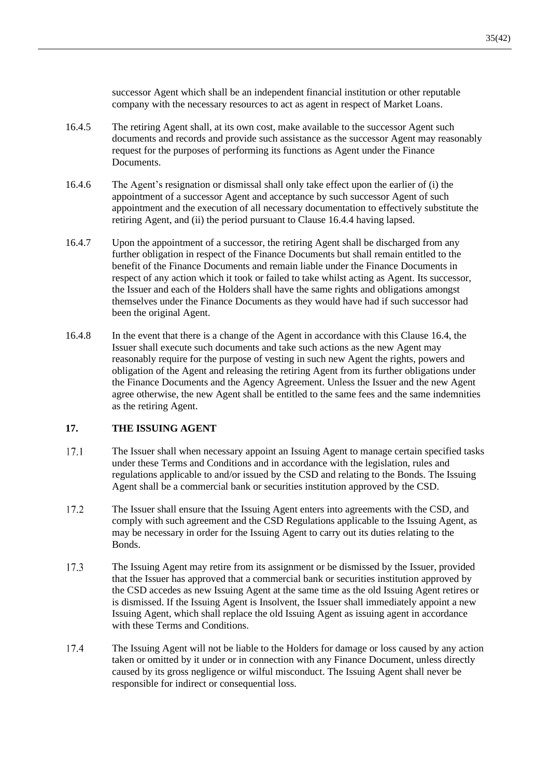successor Agent which shall be an independent financial institution or other reputable company with the necessary resources to act as agent in respect of Market Loans.

- 16.4.5 The retiring Agent shall, at its own cost, make available to the successor Agent such documents and records and provide such assistance as the successor Agent may reasonably request for the purposes of performing its functions as Agent under the Finance Documents.
- <span id="page-37-0"></span>16.4.6 The Agent's resignation or dismissal shall only take effect upon the earlier of (i) the appointment of a successor Agent and acceptance by such successor Agent of such appointment and the execution of all necessary documentation to effectively substitute the retiring Agent, and (ii) the period pursuant to Clause [16.4.4](#page-36-1) having lapsed.
- 16.4.7 Upon the appointment of a successor, the retiring Agent shall be discharged from any further obligation in respect of the Finance Documents but shall remain entitled to the benefit of the Finance Documents and remain liable under the Finance Documents in respect of any action which it took or failed to take whilst acting as Agent. Its successor, the Issuer and each of the Holders shall have the same rights and obligations amongst themselves under the Finance Documents as they would have had if such successor had been the original Agent.
- 16.4.8 In the event that there is a change of the Agent in accordance with this Clause [16.4,](#page-36-2) the Issuer shall execute such documents and take such actions as the new Agent may reasonably require for the purpose of vesting in such new Agent the rights, powers and obligation of the Agent and releasing the retiring Agent from its further obligations under the Finance Documents and the Agency Agreement. Unless the Issuer and the new Agent agree otherwise, the new Agent shall be entitled to the same fees and the same indemnities as the retiring Agent.

### **17. THE ISSUING AGENT**

- $17.1$ The Issuer shall when necessary appoint an Issuing Agent to manage certain specified tasks under these Terms and Conditions and in accordance with the legislation, rules and regulations applicable to and/or issued by the CSD and relating to the Bonds. The Issuing Agent shall be a commercial bank or securities institution approved by the CSD.
- 17.2 The Issuer shall ensure that the Issuing Agent enters into agreements with the CSD, and comply with such agreement and the CSD Regulations applicable to the Issuing Agent, as may be necessary in order for the Issuing Agent to carry out its duties relating to the Bonds.
- 17.3 The Issuing Agent may retire from its assignment or be dismissed by the Issuer, provided that the Issuer has approved that a commercial bank or securities institution approved by the CSD accedes as new Issuing Agent at the same time as the old Issuing Agent retires or is dismissed. If the Issuing Agent is Insolvent, the Issuer shall immediately appoint a new Issuing Agent, which shall replace the old Issuing Agent as issuing agent in accordance with these Terms and Conditions.
- 17.4 The Issuing Agent will not be liable to the Holders for damage or loss caused by any action taken or omitted by it under or in connection with any Finance Document, unless directly caused by its gross negligence or wilful misconduct. The Issuing Agent shall never be responsible for indirect or consequential loss.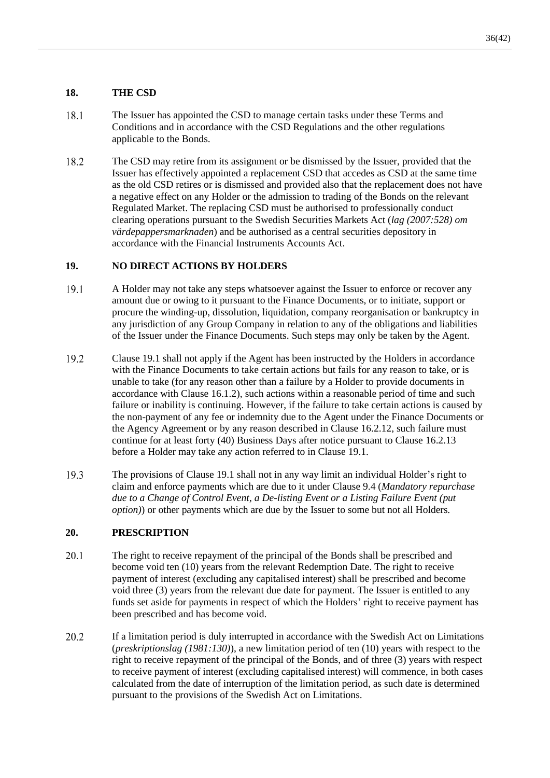### **18. THE CSD**

- 18.1 The Issuer has appointed the CSD to manage certain tasks under these Terms and Conditions and in accordance with the CSD Regulations and the other regulations applicable to the Bonds.
- 18.2 The CSD may retire from its assignment or be dismissed by the Issuer, provided that the Issuer has effectively appointed a replacement CSD that accedes as CSD at the same time as the old CSD retires or is dismissed and provided also that the replacement does not have a negative effect on any Holder or the admission to trading of the Bonds on the relevant Regulated Market. The replacing CSD must be authorised to professionally conduct clearing operations pursuant to the Swedish Securities Markets Act (*lag (2007:528) om värdepappersmarknaden*) and be authorised as a central securities depository in accordance with the Financial Instruments Accounts Act.

### **19. NO DIRECT ACTIONS BY HOLDERS**

- <span id="page-38-0"></span>19.1 A Holder may not take any steps whatsoever against the Issuer to enforce or recover any amount due or owing to it pursuant to the Finance Documents, or to initiate, support or procure the winding-up, dissolution, liquidation, company reorganisation or bankruptcy in any jurisdiction of any Group Company in relation to any of the obligations and liabilities of the Issuer under the Finance Documents. Such steps may only be taken by the Agent.
- 19.2 Clause [19.1](#page-38-0) shall not apply if the Agent has been instructed by the Holders in accordance with the Finance Documents to take certain actions but fails for any reason to take, or is unable to take (for any reason other than a failure by a Holder to provide documents in accordance with Clause [16.1.2\)](#page-34-1), such actions within a reasonable period of time and such failure or inability is continuing. However, if the failure to take certain actions is caused by the non-payment of any fee or indemnity due to the Agent under the Finance Documents or the Agency Agreement or by any reason described in Clause [16.2.12,](#page-35-2) such failure must continue for at least forty (40) Business Days after notice pursuant to Clause [16.2.13](#page-36-3) before a Holder may take any action referred to in Clause [19.1.](#page-38-0)
- 19.3 The provisions of Clause [19.1](#page-38-0) shall not in any way limit an individual Holder's right to claim and enforce payments which are due to it under Clause [9.4](#page-20-1) (*[Mandatory repurchase](#page-20-1)  due to a Change of Control Event, [a De-listing Event or a Listing Failure Event](#page-20-1) (put [option\)](#page-20-1)*) or other payments which are due by the Issuer to some but not all Holders.

### **20. PRESCRIPTION**

- $20.1$ The right to receive repayment of the principal of the Bonds shall be prescribed and become void ten (10) years from the relevant Redemption Date. The right to receive payment of interest (excluding any capitalised interest) shall be prescribed and become void three (3) years from the relevant due date for payment. The Issuer is entitled to any funds set aside for payments in respect of which the Holders' right to receive payment has been prescribed and has become void.
- 20.2 If a limitation period is duly interrupted in accordance with the Swedish Act on Limitations (*preskriptionslag (1981:130)*), a new limitation period of ten (10) years with respect to the right to receive repayment of the principal of the Bonds, and of three (3) years with respect to receive payment of interest (excluding capitalised interest) will commence, in both cases calculated from the date of interruption of the limitation period, as such date is determined pursuant to the provisions of the Swedish Act on Limitations.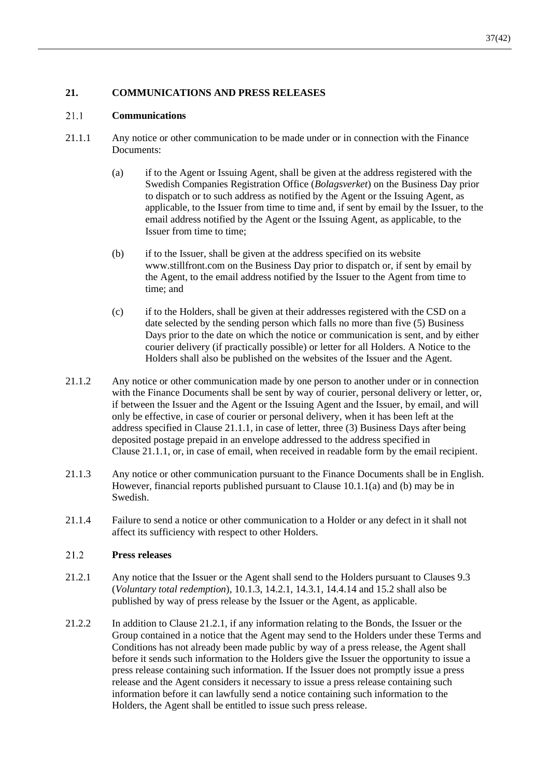### **21. COMMUNICATIONS AND PRESS RELEASES**

#### 21.1 **Communications**

- <span id="page-39-0"></span>21.1.1 Any notice or other communication to be made under or in connection with the Finance Documents:
	- (a) if to the Agent or Issuing Agent, shall be given at the address registered with the Swedish Companies Registration Office (*Bolagsverket*) on the Business Day prior to dispatch or to such address as notified by the Agent or the Issuing Agent, as applicable, to the Issuer from time to time and, if sent by email by the Issuer, to the email address notified by the Agent or the Issuing Agent, as applicable, to the Issuer from time to time;
	- (b) if to the Issuer, shall be given at the address specified on its website www.stillfront.com on the Business Day prior to dispatch or, if sent by email by the Agent, to the email address notified by the Issuer to the Agent from time to time; and
	- (c) if to the Holders, shall be given at their addresses registered with the CSD on a date selected by the sending person which falls no more than five (5) Business Days prior to the date on which the notice or communication is sent, and by either courier delivery (if practically possible) or letter for all Holders. A Notice to the Holders shall also be published on the websites of the Issuer and the Agent.
- 21.1.2 Any notice or other communication made by one person to another under or in connection with the Finance Documents shall be sent by way of courier, personal delivery or letter, or, if between the Issuer and the Agent or the Issuing Agent and the Issuer, by email, and will only be effective, in case of courier or personal delivery, when it has been left at the address specified in Clause [21.1.1,](#page-39-0) in case of letter, three (3) Business Days after being deposited postage prepaid in an envelope addressed to the address specified in Clause [21.1.1,](#page-39-0) or, in case of email, when received in readable form by the email recipient.
- 21.1.3 Any notice or other communication pursuant to the Finance Documents shall be in English. However, financial reports published pursuant to Clause [10.1.1](#page-21-1)[\(a\)](#page-21-2) and [\(b\)](#page-21-3) may be in Swedish.
- 21.1.4 Failure to send a notice or other communication to a Holder or any defect in it shall not affect its sufficiency with respect to other Holders.

#### 21.2 **Press releases**

- <span id="page-39-1"></span>21.2.1 Any notice that the Issuer or the Agent shall send to the Holders pursuant to Clauses [9.3](#page-19-3) (*Voluntary total redemption*), [10.1.3,](#page-21-4) [14.2.1,](#page-30-3) [14.3.1,](#page-30-4) [14.4.14](#page-33-5) and [15.2](#page-33-6) shall also be published by way of press release by the Issuer or the Agent, as applicable.
- 21.2.2 In addition to Clause [21.2.1,](#page-39-1) if any information relating to the Bonds, the Issuer or the Group contained in a notice that the Agent may send to the Holders under these Terms and Conditions has not already been made public by way of a press release, the Agent shall before it sends such information to the Holders give the Issuer the opportunity to issue a press release containing such information. If the Issuer does not promptly issue a press release and the Agent considers it necessary to issue a press release containing such information before it can lawfully send a notice containing such information to the Holders, the Agent shall be entitled to issue such press release.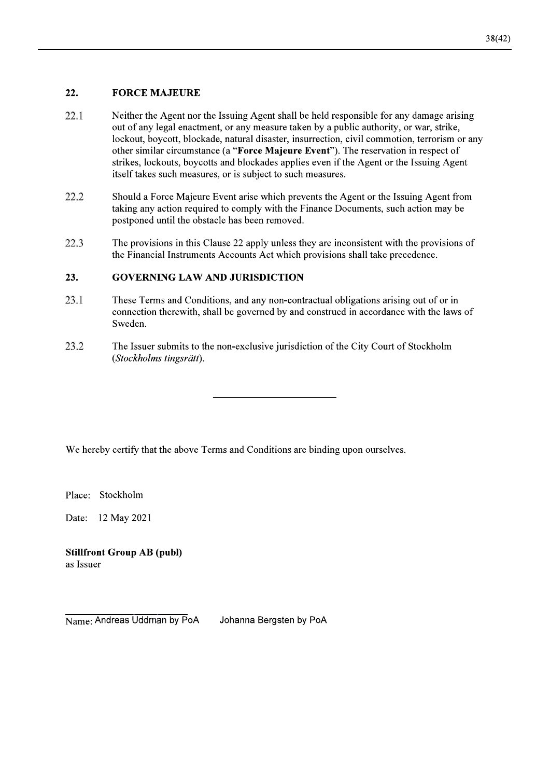#### 22. **FORCE MAJEURE**

- 22.1 Neither the Agent nor the Issuing Agent shall be held responsible for any damage arising out of any legal enactment, or any measure taken by a public authority, or war, strike, lockout, boycott, blockade, natural disaster, insurrection, civil commotion, terrorism or any other similar circumstance (a "Force Majeure Event"). The reservation in respect of strikes, lockouts, boycotts and blockades applies even if the Agent or the Issuing Agent itself takes such measures, or is subject to such measures.
- 22.2 Should a Force Majeure Event arise which prevents the Agent or the Issuing Agent from taking any action required to comply with the Finance Documents, such action may be postponed until the obstacle has been removed.
- 22.3 The provisions in this Clause 22 apply unless they are inconsistent with the provisions of the Financial Instruments Accounts Act which provisions shall take precedence.

#### 23. **GOVERNING LAW AND JURISDICTION**

- 23.1 These Terms and Conditions, and any non-contractual obligations arising out of or in connection therewith, shall be governed by and construed in accordance with the laws of Sweden.
- 23.2 The Issuer submits to the non-exclusive jurisdiction of the City Court of Stockholm (Stockholms tingsrätt).

We hereby certify that the above Terms and Conditions are binding upon ourselves.

Place: Stockholm

Date: 12 May 2021

**Stillfront Group AB (publ)** as Issuer

Name: Andreas Uddman by PoA Johanna Bergsten by PoA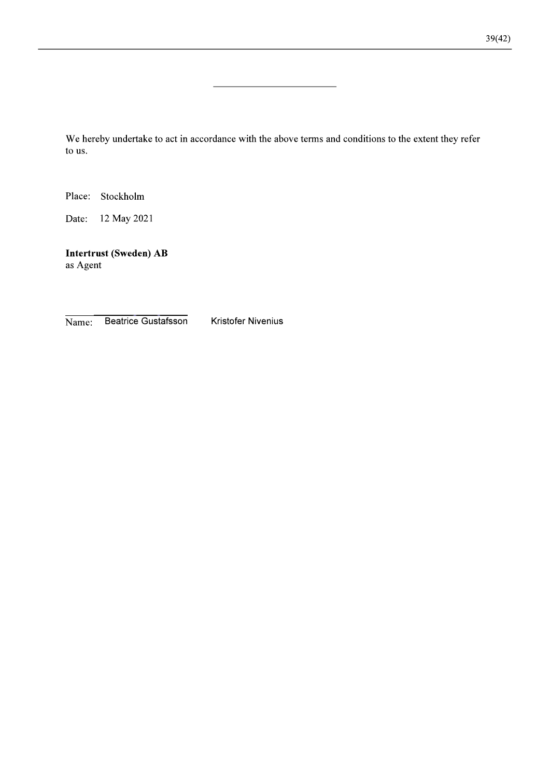We hereby undertake to act in accordance with the above terms and conditions to the extent they refer to us.

Place: Stockholm

Date: 12 May 2021

Intertrust (Sweden) AB as Agent

Beatrice Gustafsson Name:

**Kristofer Nivenius**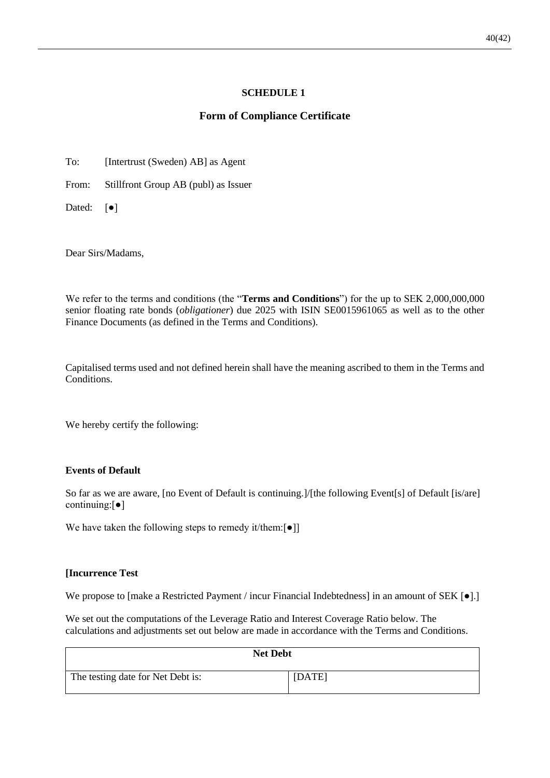### **SCHEDULE 1**

### **Form of Compliance Certificate**

<span id="page-42-0"></span>To: [Intertrust (Sweden) AB] as Agent

From: Stillfront Group AB (publ) as Issuer

Dated: [ $\bullet$ ]

Dear Sirs/Madams,

We refer to the terms and conditions (the "**Terms and Conditions**") for the up to SEK 2,000,000,000 senior floating rate bonds (*obligationer*) due 2025 with ISIN SE0015961065 as well as to the other Finance Documents (as defined in the Terms and Conditions).

Capitalised terms used and not defined herein shall have the meaning ascribed to them in the Terms and Conditions.

We hereby certify the following:

### **Events of Default**

So far as we are aware, [no Event of Default is continuing.]/[the following Event[s] of Default [is/are] continuing:[●]

We have taken the following steps to remedy it/them: $\lceil \bullet \rceil$ ]

### **[Incurrence Test**

We propose to [make a Restricted Payment / incur Financial Indebtedness] in an amount of SEK [ $\bullet$ ].

We set out the computations of the Leverage Ratio and Interest Coverage Ratio below. The calculations and adjustments set out below are made in accordance with the Terms and Conditions.

| <b>Net Debt</b>                   |        |  |  |  |
|-----------------------------------|--------|--|--|--|
| The testing date for Net Debt is: | [DATE] |  |  |  |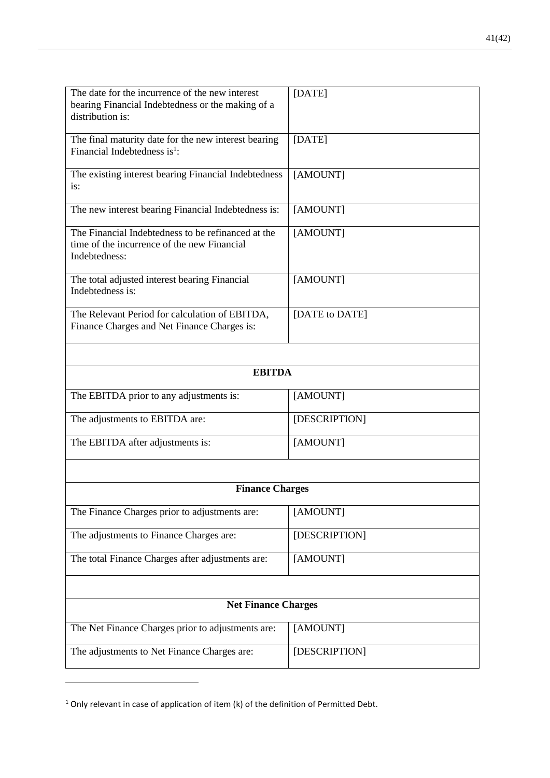| The date for the incurrence of the new interest<br>bearing Financial Indebtedness or the making of a<br>distribution is: | [DATE]         |  |  |  |
|--------------------------------------------------------------------------------------------------------------------------|----------------|--|--|--|
| The final maturity date for the new interest bearing<br>Financial Indebtedness is <sup>1</sup> :                         | [DATE]         |  |  |  |
| The existing interest bearing Financial Indebtedness<br>is:                                                              | [AMOUNT]       |  |  |  |
| The new interest bearing Financial Indebtedness is:                                                                      | [AMOUNT]       |  |  |  |
| The Financial Indebtedness to be refinanced at the<br>time of the incurrence of the new Financial<br>Indebtedness:       | [AMOUNT]       |  |  |  |
| The total adjusted interest bearing Financial<br>Indebtedness is:                                                        | [AMOUNT]       |  |  |  |
| The Relevant Period for calculation of EBITDA,<br>Finance Charges and Net Finance Charges is:                            | [DATE to DATE] |  |  |  |
| <b>EBITDA</b>                                                                                                            |                |  |  |  |
|                                                                                                                          |                |  |  |  |
| The EBITDA prior to any adjustments is:                                                                                  | [AMOUNT]       |  |  |  |
| The adjustments to EBITDA are:                                                                                           | [DESCRIPTION]  |  |  |  |
| The EBITDA after adjustments is:                                                                                         | [AMOUNT]       |  |  |  |
|                                                                                                                          |                |  |  |  |
| <b>Finance Charges</b>                                                                                                   |                |  |  |  |
| The Finance Charges prior to adjustments are:                                                                            | [AMOUNT]       |  |  |  |
| The adjustments to Finance Charges are:                                                                                  | [DESCRIPTION]  |  |  |  |
| The total Finance Charges after adjustments are:                                                                         | [AMOUNT]       |  |  |  |
|                                                                                                                          |                |  |  |  |
| <b>Net Finance Charges</b>                                                                                               |                |  |  |  |
| The Net Finance Charges prior to adjustments are:                                                                        | [AMOUNT]       |  |  |  |
| The adjustments to Net Finance Charges are:                                                                              | [DESCRIPTION]  |  |  |  |

 $1$  Only relevant in case of application of item (k) of the definition of Permitted Debt.